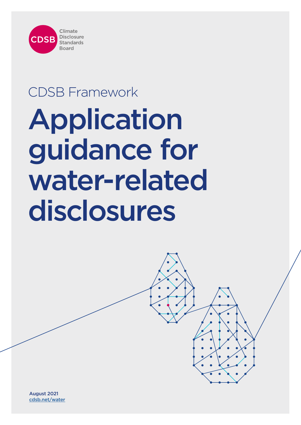

# CDSB Framework Application guidance for water-related disclosures

August 2021 [cdsb.net/water](https://www.cdsb.net/water)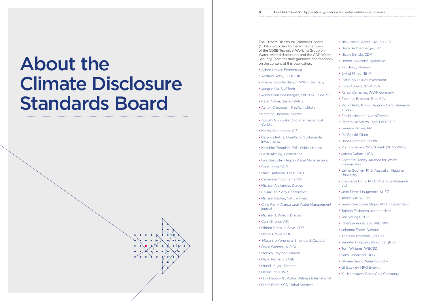# <span id="page-1-0"></span>About the Climate Disclosure Standards Board



The Climate Disclosure Standards Board  $(CDSB)$  would like to thank the member of the CDSB Technical Working Group Water-related disclosures and the CDP Security Team for their guidance and feedback on the content of this publication:

- Adam Leaver, Ecometrica
- Andrew Roby, FCDO UK
- Ariane Laporte-Bisquit, WWF Germa
- Junguo Liu, SUSTech
- Arnout van Soesbergen, PhD, UNEP
- Kata Molnar, Sustainalytics
- Ashok Chapagain, Pacific Institute
- Katarina Hammar, Nordea
- Atsushi Nishiwaki, Ono Pharmaceutic Co.,Ltd
- Katrin Gronemeier, GIZ
- Belynda Petrie, OneWorld Sustainable Investments
- Kazuhiro Teranishi, PhD, Sekisui Hous
- Bertil Abbing, Ecometrica
- Lisa Beauvilain, Impax Asset Manager
- Cate Lamb, CDP
- Marta Antonelli, PhD, CMCC
- Catherine Moncrieff, CDP
- Michael Alexander, Diageo
- Chisaki Ito, Sony Corporation
- Michael Becker, Nature Invest
- Chris Perry, Agricultural Water Management journal
- Michael J. Wilson, Diageo
- Colin Strong, WRI
- Miriam Denis Le Seve, CDP
- Daniel Crewe, CDP
- Mitsuhiro Yonehara, Shionogi & Co.,
- David Greenall, VIRIDI
- Monika Freyman, Mercer
- David Parham, SASB
- Muriel Jaujou, Danone
- Debra Tan, CWR
- Nick Hepworth, Water Witness Intern
- Diana Bach, SCS Global Services

| n guidance for water-related disclosures |  |  |
|------------------------------------------|--|--|

| rd          | • Nick Martin, Antea Group; BIER                        |
|-------------|---------------------------------------------------------|
| ers<br>on.  | • Dieter Rothenberger, GIZ                              |
| Water       | • Nicole Dando, CDP                                     |
| eedback     | · Donna Laviolette, Xylem Inc.                          |
|             | • Paul Reig, Bluerisk                                   |
|             | • Eivind Fliflet, NBIM                                  |
|             | • Piet Klop, PGGM Investment                            |
| yne         | • Eliza Roberts, WSP USA                                |
| <b>WCMC</b> | • Rafael Camargo, WWF Germany                           |
|             | • Florence Brocard, Total S.A.                          |
|             | • Rami Narte, Nordic Agency for Sustainable<br>Impact   |
|             | • Fredrik Hellman, AstraZeneca                          |
| :al         | • Renata De Souza Leao, PhD, CDP                        |
|             | • Gemma James, PRI                                      |
| e           | • Ria Bakshi, Olam                                      |
|             | · Hans Buchholz, L'Oréal                                |
| sе          | • Rochi Khemka, World Bank (2030 WRG)                   |
|             | • James Dalton, IUCN                                    |
| ment        | · Scott McCready, Alliance for Water<br>Stewardship     |
|             | • Jayne Godfrey, PhD, Australian National<br>University |
|             | · Stephanie Hime, PhD, Little Blue Research<br>Ltd.     |
|             | • Jean Pierre Maugendre, SUEZ                           |
|             | • Taeko Suzuki, LIXIL                                   |
| gement      | · Jean-Christophe Bligny, PhD, Independent              |
|             | • Tatiana Fedotova, Independent                         |
|             | · Jed Youngs, BHP                                       |
|             | • Therese Rudebeck. PhD, SIWI                           |
|             | • Jehanne Fabre, Danone                                 |
|             | • Theresia Trommer, SBD Inc.                            |
| Ltd.        | · Jennifer Cogburn, BloombergNEF                        |
|             | • Tom Williams, WBCSD                                   |
|             | · Jens Hönerhoff, DEG                                   |
|             | • William Sarni, Water Foundry                          |
|             | · Jill Buckley, NRG Energy                              |
|             | • Yui Kamikawa, Coca-Cola Company                       |
| าational    |                                                         |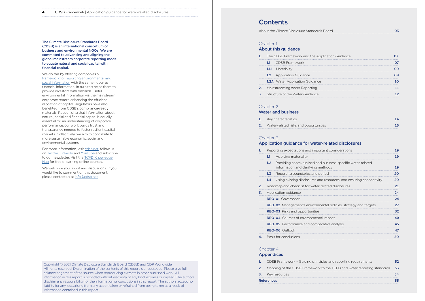**4** CDSB Framework | Application guidance for water-related disclosures

Copyright © 2021 Climate Disclosure Standards Board (CDSB) and CDP Worldwide. All rights reserved. Dissemination of the contents of this report is encouraged. Please give full acknowledgement of the source when reproducing extracts in other published work. All information in this report is provided without warranty of any kind, express or implied. The authors disclaim any responsibility for the information or conclusions in this report. The authors accept no liability for any loss arising from any action taken or refrained from being taken as a result of information contained in this report.

# **Contents**

About the Climate Disclosure Standards

## Chapter 1

The Climate Disclosure Standards Board (CDSB) is an international consortium of business and environmental NGOs. We are committed to advancing and aligning the global mainstream corporate reporting model to equate natural and social capital with financial capital.

We do this by offering companies a [framework for reporting environmental and](https://www.cdsb.net/framework)  [social information](https://www.cdsb.net/framework) with the same rigour as financial information. In turn this helps them to provide investors with decision-useful environmental information via the mainstream corporate report, enhancing the efficient allocation of capital. Regulators have also benefited from CDSB's compliance-ready materials. Recognising that information about natural, social and financial capital is equally essential for an understanding of corporate performance, our work builds trust and transparency needed to foster resilient capital markets. Collectively, we aim to contribute to more sustainable economic, social and environmental systems.

For more information, visit [cdsb.net](http://cdsb.net/), follow us on [Twitter](https://twitter.com/CDSBglobal), [LinkedIn](https://www.linkedin.com/company/cdsb/) and [YouTube](https://www.youtube.com/channel/UClc3fr91G4L-VAyeu_f43AA) and subscribe to our newsletter. Visit the **TCFD Knowledge** [Hub](https://www.tcfdhub.org/) for free e-learning online courses.

We welcome your input and discussions. If you would like to comment on this document, please contact us at [info@cdsb.net](https://mail.google.com/mail/?extsrc=mailto&url=mailto%3Ainfo%40cdsb.net).

## [About this guidance](#page-3-0)

|     | The CDSB Framework and the Ap            |
|-----|------------------------------------------|
| 1.1 | <b>CDSB Framework</b>                    |
|     | <b>1.1.1</b> Materiality                 |
| 1.2 | <b>Application Guidance</b>              |
|     | <b>1.2.1.</b> Water Application Guidance |
|     | Mainstreaming water Reporting            |
|     | Structure of the Water Guidance          |

| <b>1.</b> The CDSB Framework and the Application Guidance |  |
|-----------------------------------------------------------|--|
| <b>1.1</b> CDSB Framework                                 |  |
| <b>1.1.1</b> Materiality                                  |  |
| <b>1.2</b> Application Guidance                           |  |
| <b>1.2.1.</b> Water Application Guidance                  |  |
| <b>2.</b> Mainstreaming water Reporting                   |  |
| <b>3.</b> Structure of the Water Guidance                 |  |
|                                                           |  |

### [Chapter 2](#page-6-0)

## [Water and business](#page-6-0)

|  | Key characteristics |  |  |  |  |
|--|---------------------|--|--|--|--|
|  |                     |  |  |  |  |
|  |                     |  |  |  |  |

## 2. Water-related risks and opportunities

## Chapter 3

| Key characteristics                   |  |
|---------------------------------------|--|
| Water-related risks and opportunities |  |

## [Application guidance for water-related disclosures](#page-9-0)

|    |                  | Reporting expectations and important considerations                                                |
|----|------------------|----------------------------------------------------------------------------------------------------|
|    | 1.1              | Applying materiality                                                                               |
|    | 1.2 <sub>1</sub> | Providing contextualised and business-specific water-related<br>information and clarifying methods |
|    | 1.3 <sub>1</sub> | Reporting boundaries and period                                                                    |
|    | $1.4^{\circ}$    | Using existing disclosures and resources, and ensuring connert                                     |
| 2. |                  | Roadmap and checklist for water-related disclosures                                                |
| 3. |                  | Application guidance                                                                               |
|    |                  | <b>REQ-01</b> Governance                                                                           |
|    |                  | <b>REQ-02</b> Management's environmental policies, strategy and targe                              |
|    |                  | <b>REQ-03</b> Risks and opportunities                                                              |
|    |                  | <b>REQ-04</b> Sources of environmental impact                                                      |
|    |                  | <b>REQ-05</b> Performance and comparative analysis                                                 |
|    |                  | <b>REQ-06</b> Outlook                                                                              |
| 1. |                  | Basis for conclusions                                                                              |
|    |                  |                                                                                                    |

|    |                  | Reporting expectations and important considerations                                                | 19 |
|----|------------------|----------------------------------------------------------------------------------------------------|----|
|    | 1.1              | Applying materiality                                                                               | 19 |
|    | 1.2 <sub>1</sub> | Providing contextualised and business-specific water-related<br>information and clarifying methods | 19 |
|    | 1.3 <sub>1</sub> | Reporting boundaries and period                                                                    | 20 |
|    | 1.4              | Using existing disclosures and resources, and ensuring connectivity                                | 20 |
| 2. |                  | Roadmap and checklist for water-related disclosures                                                | 21 |
| 3. |                  | Application guidance                                                                               | 24 |
|    |                  | <b>REQ-01</b> Governance                                                                           | 24 |
|    |                  | <b>REQ-02</b> Management's environmental policies, strategy and targets                            | 27 |
|    |                  | <b>REQ-03</b> Risks and opportunities                                                              | 32 |
|    |                  | <b>REQ-04</b> Sources of environmental impact                                                      | 40 |
|    |                  | <b>REQ-05</b> Performance and comparative analysis                                                 | 45 |
|    |                  | <b>REQ-06</b> Outlook                                                                              | 47 |
| 4. |                  | Basis for conclusions                                                                              | 50 |
|    |                  |                                                                                                    |    |

## [Chapter 4](#page-25-0)  [Appendices](#page-25-0)

| <b>References</b>                        |
|------------------------------------------|
| <b>3.</b> Key resources                  |
| 2. Mapping of the CDSB Framework         |
| <b>1.</b> CDSB Framework - Guiding princ |

| s Board |  |
|---------|--|
|         |  |

| <b>References</b>                                                             |  |
|-------------------------------------------------------------------------------|--|
| <b>3.</b> Key resources                                                       |  |
| 2. Mapping of the CDSB Framework to the TCFD and water reporting standards 53 |  |
| 1. CDSB Framework - Guiding principles and reporting requirements             |  |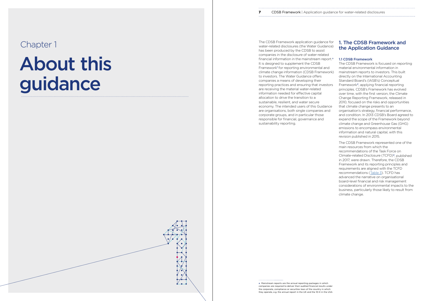# About this guidance



<span id="page-3-0"></span>Chapter 1 The CDSB Framework application guidance for the CDSB Framework application guidance for  $\Box$ water-related disclosures (the Water Guidance) has been produced by the CDSB to assist companies in the disclosure of water-related financial information in the mainstream report.<sup>a</sup> It is designed to supplement the CDSB Framework<sup>1</sup> for reporting environmental and climate change information (CDSB Framework) to investors. The Water Guidance offers companies a means of developing their reporting practices and ensuring that investors are receiving the material water-related information needed for effective capital allocation to drive the transition to a sustainable, resilient, and water secure economy. The intended users of this Guidance are organisations, both single companies and corporate groups, and in particular those responsible for financial, governance and sustainability reporting.

# 1. The CDSB Framework and the Application Guidance

### 1.1 CDSB Framework

The CDSB Framework is focused on reporting material environmental information in mainstream reports to investors. This built directly on the International Accounting Standard Board's (IASB's) Conceptual Framework2, applying financial reporting principles. CDSB's Framework has evolved over time, with the first version, the Climate Change Reporting Framework, released in 2010, focused on the risks and opportunities that climate change presents to an organisation's strategy, financial performance, and condition. In 2013 CDSB's Board agreed to expand the scope of the Framework beyond climate change and Greenhouse Gas (GHG) emissions to encompass environmental information and natural capital, with this revision published in 2015.

The CDSB Framework represented one of the main resources from which the recommendations of the Task Force on Climate-related Disclosure (TCFD)3, published in 2017, were drawn. Therefore, the CDSB Framework and its reporting principles and requirements are aligned with the TCFD recommendations [\(Table 3](#page-26-0)). TCFD has advanced the narrative on organisational board-level financial and risk management considerations of environmental impacts to the business, particularly those likely to result from climate change.

a Mainstream reports are the annual reporting packages in which companies are required to deliver their audited financial results under the corporate, compliance or securities laws of the country in which they operate, e.g. the annual report in the UK and the 10-K in the USA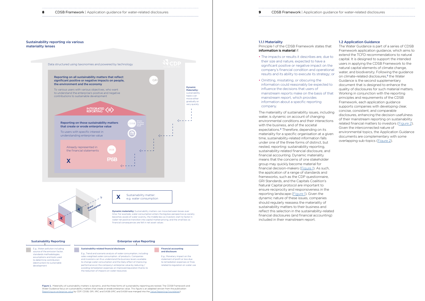<span id="page-4-0"></span>

Figure 1. Materiality of sustainability matters is dynamic, and the three forms of sustainability reporting are nested. The CDSB Framework and Water Guidance focus on sustainability matters that create or erode enterprise value. This figure is an adapted version from the publication [Reporting on enterprise value](https://29kjwb3armds2g3gi4lq2sx1-wpengine.netdna-ssl.com/wp-content/uploads/Reporting-on-enterprise-value_climate-prototype_Dec20.pdf) by CDP, CDSB, GRI, IIRC and SASB (IIRC and SASB have merged into the [Value Reporting Foundation](https://www.valuereportingfoundation.org/)).

| n guidance for water-related disclosures |  |
|------------------------------------------|--|
|                                          |  |

source of the emission factor standards methodologies, assumptions and tools used to determine contribution (destruction) to sustainable development

E.g., Trend and scenario analysis of water consumption, including sales-weighted water consumption of products. Companies and investors can thus understand the business levers available to change water consumption and the likely effect of improving performance on the company's enterprise value by reducing / avoiding remediation expenses or improved reputation thanks to the reduction of impacts on water resources

E.g., Monetary impact on the statement of profit or loss due to remediation expenses or fines related to regulation on water use

The Water Guidance is part of a series of CDSB Framework application guidance, which aims to extend the TCFD recommendations to natural capital. It is designed to support the intended users in applying the CDSB Framework to the natural capital elements of climate change, water, and biodiversity. Following the guidance on climate-related disclosures,<sup>5</sup> the Water Guidance is the second supplementary document that is designed to enhance the quality of disclosures for such material matters. Working in conjunction with the reporting principles and requirements of the CDSB Framework, each application guidance supports companies with developing clear, concise, consistent, and comparable disclosures, enhancing the decision-usefulness of their mainstream reporting on sustainability related financial matters to investors [\(Figure 2\)](#page-5-0). Given the interconnected nature of environmental topics, the Application Guidance documents are complementary with some overlapping sub-topics [\(Figure 2](#page-5-0)).

#### 1.1.1 Materiality

Principle 1 of the CDSB Framework states that information is material if:



- The impacts or results it describes are, due to their size and nature, expected to have a significant positive or negative impact on the company's financial condition and operational results and its ability to execute its strategy; or
- Omitting, misstating, or obscuring the information could reasonably be expected to influence the decisions that users of mainstream reports make on the basis of that mainstream report, which provides information about a specific reporting company.

The materiality of sustainability issues, including water, is dynamic on account of changing environmental conditions and their interactions with the business, and of the societal expectations.4 Therefore, depending on its materiality for a specific organisation at a given time, sustainability-related information falls under one of the three forms of distinct, but nested, reporting: sustainability reporting, sustainability-related financial disclosure, and financial accounting. Dynamic materiality means that the concerns of one stakeholder group may quickly become material for financial decision-makers (Figure 1). As such, the application of a range of standards and frameworks, such as the CDP questionnaire, GRI Standards, and the Capitals Coalition's Natural Capital protocol are important to ensure reciprocity and responsiveness in the reporting landscape (Figure 1). Given the dynamic nature of these issues, companies should regularly reassess the materiality of sustainability matters to their business and reflect this selection in the sustainability-related financial disclosures (and financial accounting) included in their mainstream report.

Sustainability reporting via various

## 1.2 Application Guidance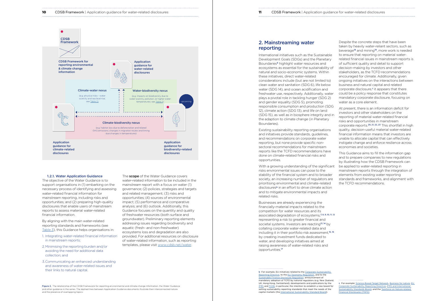b For example, EU initiatives related to the Corporate Sustainability [Reporting Directive,](https://ec.europa.eu/info/business-economy-euro/company-reporting-and-auditing/company-reporting/corporate-sustainability-reporting_en) to the [EU Taxonomy Regulation](https://ec.europa.eu/info/business-economy-euro/banking-and-finance/sustainable-finance/eu-taxonomy-sustainable-activities_en), and to the [Sustainable Finance Disclosure Regulation](https://eur-lex.europa.eu/legal-content/EN/TXT/?uri=CELEX:32019R2088), announcement of mandatory adoption of TCFD by national regulators (e.g. New Zealand, UK, Hong Kong, Switzerland), developments and publications by the [IFRS](https://www.ifrs.org/content/dam/ifrs/project/sustainability-reporting/ed-2021-5-proposed-constitution-amendments-to-accommodate-sustainability-board.pdf) and [FASB,](https://www.fasb.org/cs/ContentServer?c=Document_C&cid=1176176379917&d=&pagename=FASB%2FDocument_C%2FDocumentPage) in particular, the intention to establish a new board for setting sustainability reporting standards that meet the needs of the capital markets (the [International Sustainability Standard Board\)](https://www.ifrs.org/news-and-events/news/2021/03/trustees-announce-strategic-direction-based-on-feedback-to-sustainability-reporting-consultation/).

# reporting

International initiatives such as the Sustainable Development Goals (SDGs) and the Planetary Boundaries<sup>6</sup> highlight water resources and ecosystems as essential for the sustainability of natural and socio-economic systems. Within these initiatives, direct water-related considerations include (but are not limited to) clean water and sanitation (SDG 6), life below water (SDG 14), and ocean acidification and freshwater use, respectively. Additionally, water plays a pivotal role in tackling hunger (SDG 2) and gender equality (SDG 5), promoting responsible consumption and production (SDG 12), climate action (SDG 13), and life on land (SDG 15), as well as in biosphere integrity and in the adaption to climate change (in Planetary Boundaries).

Existing sustainability reporting organisations and initiatives provide standards, guidelines, and recommendations on corporate water reporting, but none provide specific nonsectoral recommendations for mainstream reports like the TCFD recommendations have done on climate-related financial risks and opportunities.

<span id="page-5-0"></span>

With a growing understanding of the significant risks environmental issues can pose to the stability of the financial system and to broader society, an increasing number of regulators are prioritising environmental and climate-related disclosures<sup>b</sup> in an effort to drive climate action and to mitigate environmental impacts and related risks.

Businesses are already experiencing the financially-material impacts related to the competition for water resources and its associated degradation of ecosystems, 7, 8, 9, 10, 11, 12 representing a risk to greater financial and societal systems. Investors are reacting<sup>13, 14</sup> by collating corporate water-related data and including it in their portfolio risk assessment,<sup>15, 16</sup> by creating investment funds dedicated to water, and developing initiatives aimed at raising awareness of water-related risks and opportunities.<sup>17</sup>

The **scope** of the Water Guidance covers water-related information to be included in the mainstream report with a focus on water (1) governance; (2) policies, strategies and targets and related management; (3) risks and opportunities; (4) sources of environmental impact; (5) performance and comparative analysis; and (6) outlook. Additionally, this Guidance focuses on the quantity and quality of freshwater resources (both surface and groundwater). Preliminary reporting elements addressing issues regarding biodiversity and aquatic (fresh- and non-freshwater) ecosystems loss and degradation are also provided. For additional resources on disclosure of water-related information, such as reporting templates, please visit [www.cdsb.net/water](http://www.cdsb.net/water).

Figure 2. The relationship of the CDSB Framework for reporting environmental and climate change information, the Water Guidance and other guidance in the series. The dashed lines between Application Guidance documents illustrate their interconnected nature and the presence of overlapping topics.

taken by heavily water-reliant sectors, such as beverage<sup>18</sup> and mining<sup>19</sup>, more work is needed to ensure that reporting on material waterrelated financial issues in mainstream reports is of sufficient quality and detail to support decision-making by investors and other stakeholders, as the TCFD recommendations encouraged for climate. Additionally, given ongoing initiatives on the interactions between business and natural capital and related corporate disclosure,<sup>c</sup> it appears that there could be a policy response that constitutes mandatory corporate disclosure, focusing on water as a core element.

At present, there is an information deficit for investors and other stakeholders on the reporting of material water-related financial risks and opportunities in mainstream corporate reports.20, 21, 22, 23 This shortfall in high quality, decision-useful material water-related financial information means that investors are unable to allocate capital that can effectively instigate change and enforce resilience across economies and societies.

This Guidance aims to fill the information gap and to prepare companies to new regulations by illustrating how the CDSB Framework can be applied to water-related reporting in mainstream reports through the integration of elements from existing water reporting standards and frameworks, and alignment with the TCFD recommendations.

#### 1.2.1. Water Application Guidance

The objective of the Water Guidance is to support organisations in (1) embarking on the necessary process of identifying and assessing water-related financial information for mainstream reporting, including risks and opportunities; and (2) preparing high-quality disclosures that enable users of mainstream reports to assess material water-related financial information.

By aligning with the main water-related reporting standards and frameworks (see [Table 3](#page-26-0)), this Guidance helps organisations in:

- 1. Integrating water-related financial information in mainstream reports;
- 2.Minimising the reporting burden and/or avoiding the need for additional data collection; and
- 3.Communicating an enhanced understanding and awareness of water-related issues and their links to natural capital.

c For example: [Science-Based Target Network](https://sciencebasedtargets.org/), [Business for nature](https://www.businessfornature.org/), [EU](https://ec.europa.eu/info/business-economy-euro/company-reporting-and-auditing/company-reporting/corporate-sustainability-reporting_en)  [Corporate Sustainability Reporting Directive,](https://ec.europa.eu/info/business-economy-euro/company-reporting-and-auditing/company-reporting/corporate-sustainability-reporting_en) IFRS and International [Sustainability Standards Board,](https://www.ifrs.org/projects/work-plan/sustainability-reporting/) and the [Taskforce on Nature-related](https://tnfd.info/)  [Financial Disclosures \(TNFD\)](https://tnfd.info/)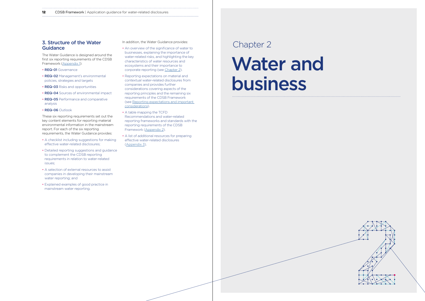#### <span id="page-6-0"></span>**12** CDSB Framework | Application guidance for water-related disclosures

# **3. Structure of the Water** In addition, the Water Guidance provides:<br> **Guidance** Chapter 2 **Guidance**

# Water and business



The Water Guidance is designed around the first six reporting requirements of the CDSB Framework [\(Appendix 1](#page-26-0)):

- REQ-01 Governance
- REQ-02 Management's environmental policies, strategies and targets
- REQ-03 Risks and opportunities
- REQ-04 Sources of environmental impact
- REQ-05 Performance and comparative analysis
- REQ-06 Outlook

These six reporting requirements set out the key content elements for reporting material environmental information in the mainstream report. For each of the six reporting requirements, the Water Guidance provides:

- A checklist including suggestions for making effective water-related disclosures;
- Detailed reporting suggestions and guidance to complement the CDSB reporting requirements in relation to water-related issues;
- A selection of external resources to assist companies in developing their mainstream water reporting; and
- Explained examples of good practice in mainstream water reporting.

In addition, the Water Guidance provides:

- An overview of the significance of water to businesses, explaining the importance of water-related risks, and highlighting the key characteristics of water resources and ecosystems and their importance to corporate reporting (see [Chapter 2](#page-7-0)).
- Reporting expectations on material and contextual water-related disclosures from companies and provides further considerations covering aspects of the reporting principles and the remaining six requirements of the CDSB Framework (see [Reporting expectations and important](#page-9-0)  [considerations\)](#page-9-0).
- A table mapping the TCFD Recommendations and water-related reporting frameworks and standards with the reporting requirements of the CDSB Framework [\(Appendix 2](#page-26-0)).
- A list of additional resources for preparing effective water-related disclosures [\(Appendix 3](#page-27-0)).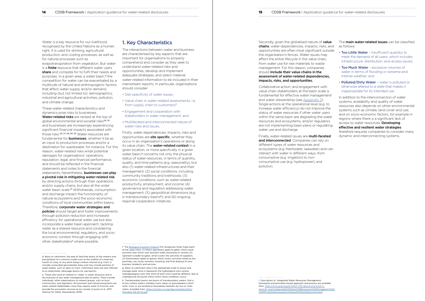**14** CDSB Framework | Application guidance for water-related disclosures **15** CDSB Framework | Application guidance for water-related disclosures

Water is a key resource for our livelihood. recognised by the United Nations as a human right. It is used for drinking, agricultural production, and cooling processes, as well as for natural processes such as

evapotranspiration from vegetation. But water is a finite resource that different water users share and compete for to fulfil their needs and purposes. In a given area, a water basin,<sup>d</sup> the competition for water can be exacerbated by a multitude of natural and anthropogenic factors that affect water supply and/or demand, including (but not limited to): demographics, industrial and agricultural activities, pollution, and climate change.

by directing actions through their operations and/or supply chains, but also at the wider water basin scale.<sup>31</sup> Withdrawals, consumption, and discharge impact the functionality of natural ecosystems and the socio-economic conditions of local communities within basins. Therefore, corporate water strategies and **policies** should target and foster improvements through pollution reduction and increased efficiency for operational water use but also incorporate a water basin approach, tackling water as a shared resource and considering the local environmental, regulatory, and socioeconomic context through engaging with other stakeholders<sup>e</sup> where possible.

These water-related characteristics and dynamics pose risks to businesses. Water-related risks are ranked at the top of global environmental and societal risks<sup>24, 25</sup> and businesses are increasingly experiencing significant financial impacts associated with those risks.26, 27, 28, 29, 30 Water resources are fundamental for **businesses**, whether it be as an input to production processes and/or a destination for wastewater, for instance. For this reason, water-related risks entail potential damages for organisations' operations, reputation, legal, and financial performance, and should be reflected in the financial statements and notes to the financial statements. Nevertheless, **businesses can play** a pivotal role in mitigating water-related risk

# 1. Key Characteristics

The interactions between water and business are characterised by key aspects that are important for organisations to properly comprehend and consider as they seek to understand water-related risks and opportunities, develop and implement adequate strategies, and select material water-related information to be included in their mainstream reports. In particular, organisations should consider:

Secondly, given the globalised nature of value chains, water dependencies, impacts, risks, and opportunities are often most significant outside the organisation's fences. Water issues may affect the entire lifecycle in the value chain, from water use for raw materials to waste management. For this reason, companies should **include their value chains in the** assessment of water-related dependencies, impacts, risks, and opportunities.

- Site-specificity of water issues;
- Value chain in water-related assessments, i.e. from supply chain to customers;<sup>f</sup>
- Engagement and cooperation with stakeholders in water management; and
- Multifaceted and interconnected nature of water risks and issues.

Finally, water-related issues are **multi-faceted** and interconnected. Companies can rely on different types of water resources and ecosystems (e.g. freshwater, seawater) and can interact with water in different ways, from consumptive (e.g. irrigation) to nonconsumptive use (e.g. hydropower), and pollution.

The **main water-related issues** can be classified as follows:

- Too Little Water insufficient quantity to meet the demand of all users, which includes infrastructure, distribution, and access issues;
- Too Much Water excessive volumes of water in terms of flooding or extreme and intense weather; and
- Polluted/Dirty Water water is polluted or otherwise altered to a state that makes it inappropriate for its intended use.

Firstly, water dependencies, impacts, risks and opportunities are **site specific**, whether they occur in an organisation's operations or along its value chain. The water-related context in a given location, or more specifically in a given water basin,<sup>9</sup> concerns not only the physical status of water resources, in terms of quantity, quality, and time patterns (e.g. seasonality), but also (1) water-related infrastructures and their management; (2) social conditions, including community traditions and livelihoods; (3) economic conditions, such as water-related productivity, employment, and income; (4) governance and regulation addressing water management; (5) geopolitical dimensions (e.g. in transboundary basinsh); and (6) ongoing regional cooperation initiatives.

Collaborative action, and engagement with value chain stakeholders at the basin scale is fundamental for effective water management<sup>i</sup> and water stewardship (see [Appendix 3](#page-27-0)). Single actions at the operational level (e.g. to increase water efficiency) do not improve the status of water resources if other water users within the same basin are degrading the water resources and ecosystems, and/or regulators are not implementing basin plans or regulating water use and discharge.

In addition to the interconnection of water systems, availability and quality of water resources also depends on other environmental systems such as climate, land cover and use, and on socio-economic factors, for example in regions where there is a significant lack of access to water resources. Developing effective and resilient water strategies therefore requires companies to consider many dynamic and interconnecting systems.

f The [Biological Diversity Protocol](https://www.nbbnbdp.org/uploads/1/3/1/4/131498886/bdp_final_080321.pdf) first recognises three major parts of the value chain: (1) Direct operations (gate-to-gate), which cover activities over which your business holds ownership or control; (2) Upstream (cradle-to-gate), which covers the activities of suppliers; (3) Downstream (gate-to-grave), which covers activities linked to the purchase, use, reuse, recovery, recycling, and final disposal of your business' products and services.

i Description of Integrated Water Resources Management framework and principles-based approach and process are available from: [https://www.gwp.org/en/GWP-CEE/about/why/what-is](https://www.gwp.org/en/GWP-CEE/about/why/what-is-iwrm/#:~:text=Integrated%20Water%20Resources%20Management%20(IWRM,vital%20ecosystems%20and%20the%20environment)[iwrm/#:~:text=Integrated%20Water%20Resources%20Management%20](https://www.gwp.org/en/GWP-CEE/about/why/what-is-iwrm/#:~:text=Integrated%20Water%20Resources%20Management%20(IWRM,vital%20ecosystems%20and%20the%20environment) [\(IWRM,vital%20ecosystems%20and%20the%20environment](https://www.gwp.org/en/GWP-CEE/about/why/what-is-iwrm/#:~:text=Integrated%20Water%20Resources%20Management%20(IWRM,vital%20ecosystems%20and%20the%20environment).

<span id="page-7-0"></span>

| n guidance for water-related disclosures |  |
|------------------------------------------|--|
|                                          |  |

d Basin or catchment: the area of land that drains all the streams and precipitation to a common outlet such as the outflow of a reservoir, mouth of a bay, or any point along a stream channel (e.g. river). It includes associated groundwater areas and may include portions of water bodies, such as lakes or rivers. Catchment areas are also referred to as watersheds, (drainage) basins (or sub-basins).

e Those who have an interest or "stake" in water resources and in the outcome of any water management plan or policy. These include individuals, other organisations or interest groups, such as local communities, and regulators. Environment and natural ecosystems are water-related stakeholders since they require water to function and provide the ecosystem services to our society (Loucks et al., 2017; Alliance for Water Stewardship, 2019)

g Basin or catchment area is the appropriate scale to assess and manage water since it represents the hydrological units or/and hydrogeological units (the limits of both units could be different, due to underground structure) within which stress conditions occur.

h Transboundary basins are basins of transboundary waters, that is, of any surface waters (notably rivers, lakes) or groundwaters which mark, cross or are located on boundaries between by two or more states. Available from: [https://unstats.un.org/sdgs/metadata/files/](https://unstats.un.org/sdgs/metadata/files/Metadata-06-05-02.pdf) [Metadata-06-05-02.pdf](https://unstats.un.org/sdgs/metadata/files/Metadata-06-05-02.pdf)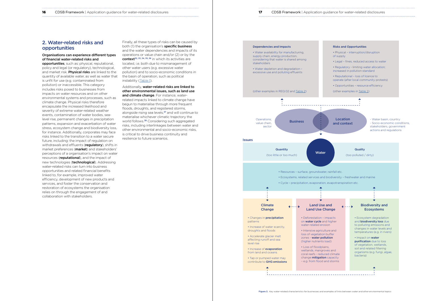<span id="page-8-0"></span>

# 2. Water-related risks and opportunities

## Organisations can experience different types of financial water-related risks and

opportunities, such as: physical, reputational, policy and legal (or regulatory), technological, and market risk. Physical risks are linked to the quantity of available water, as well as water that is unfit for use (e.g. contaminated from pollution) or inaccessible. This category includes risks posed to businesses from impacts on water resources and on other environmental systems and processes, such as climate change. Physical risks therefore encapsulate the increased likelihood and severity of extreme water-related weather events, contamination of water bodies, sealevel rise, permanent changes in precipitation patterns, expansion and exacerbation of water stress, ecosystem change and biodiversity loss, for instance. Additionally, corporates may face risks linked to the transition to a water secure future, including: the impact of regulation on withdrawals and effluents (regulatory), shifts in market preferences (**market**) and stakeholders' perceptions of a organisation's impact on water resources (reputational), and the impact of new technologies (technological). Addressing water-related risks can turn into business opportunities and related financial benefits linked to, for example, improved water efficiency, development of new products and services, and foster the conservation and restoration of ecosystems the organisation relies on through the engagement of and collaboration with stakeholders.

Additionally, water-related risks are linked to other environmental issues, such as land use and climate change. For instance, waterrelated impacts linked to climate change have begun to materialise through more frequent floods, droughts, and registered storms, alongside rising sea levels,<sup>37</sup> and will continue to materialise whichever climatic trajectory the world follows.<sup>38</sup> Considering such aggregated risks, including interlinkages between water and other environmental and socio-economic risks, is critical to drive business continuity and resilience to future scenarios.

Finally, all these types of risks can be caused by both (1) the organisation's **specific business** and the water dependencies and impacts of its operations or value chain and/or (2) or by the context<sup>32, 33, 34, 35, 36</sup> in which its activities are located, i.e. both due to mismanagement of other water users (e.g. excessive water pollution) and to socio-economic conditions in the basin of operation, such as political instability ([Table 1\)](#page-16-0).





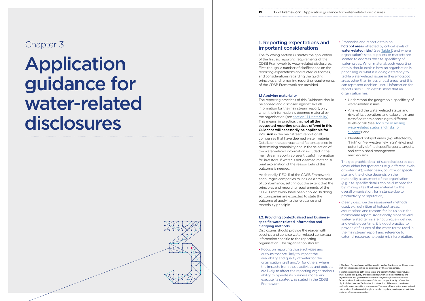# <span id="page-9-0"></span>Chapter 3

# Application guidance for water-related disclosures



# 1. Reporting expectations and important considerations

The following section illustrates the application of the first six reporting requirements of the CDSB Framework to water-related disclosures. First, though, a number of clarifications on the reporting expectations and related outcomes, and considerations regarding the guiding principles and remaining reporting requirements of the CDSB Framework are provided.

## 1.1 Applying materiality

The reporting practices of this Guidance should be applied and disclosed against, like all information for the mainstream report, only when the information is deemed material by the organisation (see [section 1.1.1 Materiality\)](#page-4-0). This means, in practice, that **not all the** suggested reporting practices offered in this Guidance will necessarily be applicable for inclusion in the mainstream report of all companies that have deemed water material. Details on the approach and factors applied in determining materiality and in the selection of the water-related information included in the mainstream report represent useful information for investors. If water is not deemed material a brief explanation of the reason behind this outcome is needed.

Additionally, REQ-11 of the CDSB Framework encourages companies to include a statement of conformance, setting out the extent that the principles and reporting requirements of the CDSB Framework have been applied. In doing so, companies are expected to state the outcome of applying the relevance and materiality principle.

## 1.2. Providing contextualised and businessspecific water-related information and clarifying methods

Disclosures should provide the reader with succinct and concise water-related contextual information specific to the reporting organisation. The organisation should:

• Focus on reporting those activities and outputs that are likely to impact the availability and quality of water for the organisation itself and/or for others, where the impacts from those activities and outputs are likely to affect the reporting organisation's ability to operate its business model and execute its strategy, as stated in the CDSB Framework;

## • Emphasise and report details on hotspot areas<sup>i</sup> affected by critical levels of water-related risks<sup>k</sup> (see [Table 1](#page-16-0)) and where organisation's sites, suppliers or markets are located to address the site-specificity of water-issues. When material, such reporting details should explain how an organisation is prioritising or what it is doing differently to

tackle water-related issues in these hotspot areas other than in less critical areas, and this can represent decision-useful information for report users. Such details show that an organisation has:

- Understood the geographic-specificity of water-related issues;
- Analysed the water-related status and risks of its operations and value chain and classified them according to different levels of risk (see [Tools for assessing](#page-19-0)  [water-related status and risks for](#page-19-0)  [support\)](#page-19-0); and
- Identified hotspot areas (e.g. affected by "high" or "very/extremely high" risks) and potentially defined specific goals, targets, and established management mechanisms.

The geographic detail of such disclosures can cover either hotspot areas (e.g. different levels of water risk), water basin, country, or specific site, and the choice depends on the materiality assessment of the organisation (e.g. site-specific details can be disclosed for big mining sites that are material for the overall organisation, for instance due to productivity or reputation).

• Clearly describe the assessment methods used, e.g. definition of hotspot areas, assumptions and reasons for inclusion in the mainstream report. Additionally, since several water-related terms are not uniquely defined and evolve over time, it is good practice to provide definitions of the water-terms used in the mainstream report and reference to external resources to avoid misinterpretation.

organisation's and government's water management; it does not include factors such as floods and effects of climate change. Scarcity reflects the physical abundance of freshwater; it is a function of the water use/demand relative to water available in a given area. There are other physical water-related risks, such as flooding and drought, as well as regulatory and reputational risks that may affect an organisation.

j The term *hotspot areas* will be used in Water Guidance for those areas that have been identified as priorities by the organisation. k Water risks embed both water stress and scarcity. Water stress includes water availability, quality, and accessibility, which are also affected by the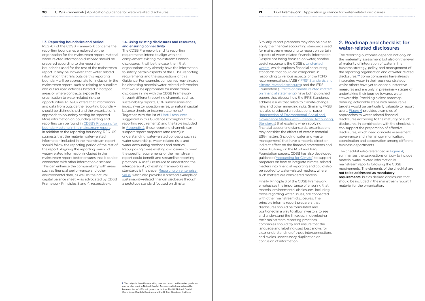<span id="page-10-0"></span>1.3. Reporting boundaries and period

REQ-07 of the CDSB Framework concerns the reporting boundaries employed by the organisation for the mainstream report. Material water-related information disclosed should be prepared according to the reporting boundaries used for the rest of the mainstream report. It may be, however, that water-related information that falls outside this reporting boundary will be appropriate for inclusion in the mainstream report, such as relating to suppliers and outsourced activities located in hotspot areas or where contracts expose the organisation to water-related risks or opportunities. REQ-07 offers that information and data from outside the reporting boundary should be distinguished and the organisation's approach to boundary setting be reported. More information on boundary setting and reporting can be found in [CDSB's Proposals for](https://www.cdsb.net/sites/default/files/proposals_for_mainstream_report_boundary_setting.pdf)  [boundary setting in the mainstream report](https://www.cdsb.net/sites/default/files/proposals_for_mainstream_report_boundary_setting.pdf). In addition to the reporting boundary, REQ-09 suggests that the material water-related information included in the mainstream report should follow the reporting period of the rest of the report. Aligning the reporting period of water-related information included in the mainstream report better ensures that it can be connected with other information disclosed. This can enhance the comparability with areas such as financial performance and other environmental data, as well as the natural capital balance sheet — as advocated by CDSB Framework Principles 3 and 4, respectively.

#### 1.4. Using existing disclosures and resources, and ensuring connectivity

The CDSB Framework and its reporting requirements intend to align with and complement existing mainstream financial disclosures. It will be the case, then, that organisations may already have the information to satisfy certain aspects of the CDSB reporting requirements and the suggestions of this Guidance. For example, companies may already be disclosing material water-related information that would be appropriate for mainstream disclosure in line with the CDSB Framework through different reporting channels, such as sustainability reports, CDP submissions and index, investor questionnaires, or natural capital balance sheets or income statements.<sup>1</sup> Together, with the list of Useful resources suggested in this Guidance (throughout the 6 reporting requirements) and the table included in [Appendix 2,](#page-26-0) these reporting channels can support report preparers (and users) in understanding water-related concepts such as water stewardship, water-related risks and water accounting methods and metrics. Repurposing these existing disclosures to meet the specific requirements of the mainstream report could benefit and streamline reporting practices. A useful resource to understand the interoperability of existing frameworks and standards is the paper Reporting on enterprise [value](https://impactmanagementproject.com/structured-network/global-sustainability-and-integrated-reporting-organisations-launch-prototype-climate-related-financial-disclosure-standard/), which also provides a practical example of sustainability-related financial disclosure through a prototype standard focused on climate.

Similarly, report preparers may also be able to apply the financial accounting standards used for mainstream reporting to report on certain aspects of water-related financial information. Despite not being focused on water, another useful resource is the CDSB's [Uncharted](https://www.cdsb.net/sites/default/files/uncharted_waters_final.pdf)  [waters,](https://www.cdsb.net/sites/default/files/uncharted_waters_final.pdf) which explores financial accounting standards that could aid companies in responding to various aspects of the TCFD recommendations. IASB [\(IFRS® Standards and](https://cdn.ifrs.org/content/dam/ifrs/news/2019/november/in-brief-climate-change-nick-anderson.pdf?la=en)  [climate-related disclosures](https://cdn.ifrs.org/content/dam/ifrs/news/2019/november/in-brief-climate-change-nick-anderson.pdf?la=en)) and the IFRS Foundation [\(Effects of climate-related matters](https://www.ifrs.org/content/dam/ifrs/supporting-implementation/documents/effects-of-climate-related-matters-on-financial-statements.pdf)  [on financial statements](https://www.ifrs.org/content/dam/ifrs/supporting-implementation/documents/effects-of-climate-related-matters-on-financial-statements.pdf)) have both published papers that discuss how the IFRS Standards address issues that relate to climate-change risks and other emerging risks. Similarly, FASB has also produced an educational paper ([Intersection of Environmental, Social and](https://www.fasb.org/cs/ContentServer?c=Document_C&cid=1176176379917&d=&pagename=FASB%2FDocument_C%2FDocumentPage)  [Governance Matters with Financial Accounting](https://www.fasb.org/cs/ContentServer?c=Document_C&cid=1176176379917&d=&pagename=FASB%2FDocument_C%2FDocumentPage)  [Standards](https://www.fasb.org/cs/ContentServer?c=Document_C&cid=1176176379917&d=&pagename=FASB%2FDocument_C%2FDocumentPage)) that explains when applying financial accounting standards, organisations may consider the effects of certain material ESG matters (including water and waste management) that have a material direct or indirect effect on the financial statements and notes. Building on the IASB and IFRS Foundation papers, CDSB has also developed guidance [\(Accounting for Climate](https://www.cdsb.net/climateaccounting)) to support preparers on how to integrate climate-related matters into financial reporting and could also be applied to water-related matters, where such matters are considered material.

Finally, Principle 3 of the CDSB Framework emphasises the importance of ensuring that material environmental disclosures, including those regarding water issues, are connected with other mainstream disclosures. The principle informs report preparers that disclosures should be formulated and positioned in a way to allow investors to see and understand the linkages. In developing their mainstream reporting practices, companies should try and ensure that the language and labelling used best allows for clear understanding of these interconnections and avoids unnecessary duplication or confusion of information.

l The outputs from the reporting process based on the water guidance can be also used in Natural Capital Accounts which are referred to by a number of different groups including: The UK Natural Capital Committee, Capitals Coalition and the British Standards Institute.

# 2. Roadmap and checklist for water-related disclosures

The reporting outcomes depends not only on the materiality assessment but also on the level of maturity of integration of water in the business strategy, policy, and management of the reporting organisation and of water-related disclosures.<sup>39</sup> Some companies have already integrated water in their business strategy whilst others have yet to adopt substantive measures and are only in preliminary stages of undertaking their journey towards water stewardship. Providing a clear roadmap detailing actionable steps with measurable targets would be particularly valuable to report users. [Figure 4](#page-11-0) provides examples of approaches to water-related financial disclosures according to the maturity of such disclosures. In combination with the checklist, it can support the preparation of effective disclosures, which need concrete assessment, governance and internal communication, coordination and cooperation among different business departments.

The checklist (also referenced in [Figure 4](#page-11-0)) summarises the suggestions on *how* to include material water-related information in mainstream reports following the CDSB requirements. The elements of the checklist are not to be addressed as mandatory requirements, but as desired disclosures that should be included in the mainstream report if material for the organisation.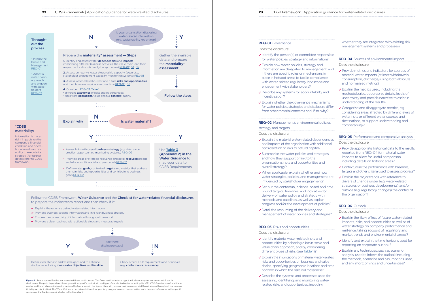Figure 4. Roadmap to effective water-related financial disclosure. This flowchart illustrates a hypothetical roadmap for water-related financial disclosures. The path depends on the organisation-specific maturity in and type of conducted water reporting (i.e. GRI, CDP Questionnaire) and there can be additional intermediate paths besides the two shown in the figure. Materiality assessment can occur at different stages throughout the process (this figure is indicative). The Water Guidance provides additional support (e.g. suggestions and resources) for each step and references to the specific sections of the Guidance are included in the flow chart.

## $\vee$  Identify the person(s) or committee responsible for water policies, strategy and information  $\checkmark$  Explain how water policies, strategy and information are delegated to managen if there are specific roles or mechanism place in hotspot areas to tackle compliwith water-related regulatory landscap engagement with stakeholders?  $\vee$  Describe any systems for accountability incentivisation?  $\vee$  Explain whether the governance mechanisms for water policies, strategies and disclos from other material concerns and, if so, REQ-02 Management's environmental political strategy and targets Does the disclosure:  $\vee$  Explain the material water-related dependence and impacts of the organisation with ad consideration of links to natural capital?  $\checkmark$  Summarise the water policies and strategies and how they support or link to the organisation's risks and opportunities and overall strategy?  $\vee$  When applicable, explain whether and water strategies, policies, and manager influenced by stakeholder engagement  $\checkmark$  Set out the contextual, science-based bound targets, timelines, and indicators delivery of water policy and strategy w

<span id="page-11-0"></span>

- $\vee$  Identify material water-related risks and opportunities by adopting a basin-scal value chain approach, and by consider different types of risks (see [Table 1](#page-16-0))?
- $\vee$  Explain the implications of material waterrisks and opportunities on business and chains, specifying geographic locations horizons in which the risks will materialis
- $\vee$  Describe the systems and processes use assessing, identifying, and monitoring related risks and opportunities, including



\*CDSB

REQ-01 Governance Does the disclosure:

 $\vee$  Detail the resourcing of the delivery and management of water policies and strategies

| <b>REQ-01</b> Governance                                                                                                                                                                                                    | whether they are integrated with existing risk<br>management systems and processes?                                                                                                                                                                                                                                                                                          |  |  |
|-----------------------------------------------------------------------------------------------------------------------------------------------------------------------------------------------------------------------------|------------------------------------------------------------------------------------------------------------------------------------------------------------------------------------------------------------------------------------------------------------------------------------------------------------------------------------------------------------------------------|--|--|
| oes the disclosure:                                                                                                                                                                                                         |                                                                                                                                                                                                                                                                                                                                                                              |  |  |
| ' Identify the person(s) or committee responsible<br>for water policies, strategy and information?                                                                                                                          | REQ-04 Sources of environmental impact                                                                                                                                                                                                                                                                                                                                       |  |  |
| ' Explain how water policies, strategy and                                                                                                                                                                                  | Does the disclosure:                                                                                                                                                                                                                                                                                                                                                         |  |  |
| information are delegated to management, and<br>if there are specific roles or mechanisms in<br>place in hotspot areas to tackle compliance<br>with water-related regulatory landscape and<br>engagement with stakeholders? | ▼ Provide metrics and indicators for sources of<br>material water impacts (at least withdrawals,<br>consumption, discharge) using both absolute<br>and normalised metrics?                                                                                                                                                                                                   |  |  |
| ' Describe any systems for accountability and<br>incentivisation?                                                                                                                                                           | ✔ Explain the metrics used, including the<br>methodologies, geographic details, levels of<br>uncertainty and provide narrative to assist in<br>understanding of the results?<br>✔ Categorise and disaggregate metrics, e.g.<br>considering areas affected by different levels of<br>water risks or different water sources and<br>destinations, to support understanding and |  |  |
| <b>Explain whether the governance mechanisms</b><br>for water policies, strategies and disclosure differ<br>from other material concerns and, if so, why?                                                                   |                                                                                                                                                                                                                                                                                                                                                                              |  |  |
| <b>EQ-02</b> Management's environmental policies,<br>trategy and targets                                                                                                                                                    | comparability?                                                                                                                                                                                                                                                                                                                                                               |  |  |
| oes the disclosure:                                                                                                                                                                                                         |                                                                                                                                                                                                                                                                                                                                                                              |  |  |
| ' Explain the material water-related dependencies                                                                                                                                                                           | <b>REQ-05</b> Performance and comparative analysis                                                                                                                                                                                                                                                                                                                           |  |  |
| and impacts of the organisation with additional<br>consideration of links to natural capital?                                                                                                                               | Does the disclosure:<br>▼ Provide appropriate historical data to the results<br>reported from REQ-04 for material water<br>impacts to allow for useful comparison,<br>including details on hotspot areas?                                                                                                                                                                    |  |  |
| Summarise the water policies and strategies<br>and how they support or link to the<br>organisation's risks and opportunities and                                                                                            |                                                                                                                                                                                                                                                                                                                                                                              |  |  |
| overall strategy?                                                                                                                                                                                                           | ✔ Contextualise the performance with baselines,                                                                                                                                                                                                                                                                                                                              |  |  |
| When applicable, explain whether and how<br>water strategies, policies, and management are<br>influenced by stakeholder engagement?                                                                                         | targets and other criteria used to assess progress?<br>▼ Explain the major trends with reference to<br>drivers of change under (e.g. water-related                                                                                                                                                                                                                           |  |  |
| Set out the contextual, science-based and time<br>bound targets, timelines, and indicators for<br>delivery of water policy and strategy with<br>methods and baselines, as well as explain                                   | strategies or business developments) and/or<br>outside (e.g. regulatory changes) the control of<br>the organisation?                                                                                                                                                                                                                                                         |  |  |
| progress and/or the development of policies?                                                                                                                                                                                | <b>REQ-06</b> Outlook                                                                                                                                                                                                                                                                                                                                                        |  |  |
| Detail the resourcing of the delivery and                                                                                                                                                                                   | Does the disclosure:                                                                                                                                                                                                                                                                                                                                                         |  |  |
| management of water policies and strategies?                                                                                                                                                                                | ✔ Explain the likely effect of future water-related<br>impacts, risks, and opportunities as well as of                                                                                                                                                                                                                                                                       |  |  |
| <b>EQ-03</b> Risks and opportunities                                                                                                                                                                                        | water strategy on company performance and                                                                                                                                                                                                                                                                                                                                    |  |  |
| oes the disclosure:                                                                                                                                                                                                         | resilience, taking account of regulatory and<br>market trends and environmental changes?                                                                                                                                                                                                                                                                                     |  |  |
| Identify material water-related risks and<br>opportunities by adopting a basin-scale and<br>value chain approach, and by considering                                                                                        | U Identify and explain the time horizons used for<br>reporting on corporate outlook?                                                                                                                                                                                                                                                                                         |  |  |
| different types of risks (see Table 1)?                                                                                                                                                                                     | ▼ Explain any techniques, such as scenario                                                                                                                                                                                                                                                                                                                                   |  |  |
| ' Explain the implications of material water-related<br>risks and opportunities on business and value<br>chains, specifying geographic locations and time<br>horizons in which the risks will materialise?                  | analysis, used to inform the outlook including<br>the methods, scenarios and assumptions used,<br>and any shortcomings and uncertainties?                                                                                                                                                                                                                                    |  |  |
| bescribe the systems and processes used for<br>assessing, identifying, and monitoring water-<br>related risks and opportunities, including                                                                                  |                                                                                                                                                                                                                                                                                                                                                                              |  |  |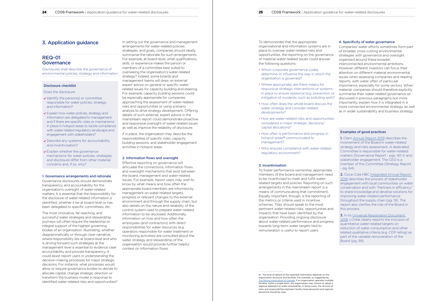# REQ-01 **Governance**

#### <span id="page-12-0"></span>**24** CDSB Framework | Application guidance for water-related disclosures **25** CDSB Framework | Application guidance for water-related disclosures **25** CDSB Framework | Application

# 3. Application guidance

Disclosures shall describe the governance of environmental policies, strategy and information

## Disclosure checklist

Does the disclosure:

- $\vee$  Identify the person(s) or committee responsible for water policies, strategy and information?
- Explain how water policies, strategy and information are delegated to management, and if there are specific roles or mechanisms in place in hotspot areas to tackle compliance with water-related regulatory landscape and engagement with stakeholders?
- Describe any systems for accountability and incentivisation?
- **v** Explain whether the governance mechanisms for water policies, strategies and disclosure differ from other material concerns and, if so, why?

#### 1. Governance arrangements and rationale

Governance disclosures should demonstrate transparency and accountability for the organisation's oversight of water-related matters. It is essential that the responsibility for the disclosure of water-related information is identified, whether it be at board-level or has been delegated to specific committees, etc.

The most innovative, far-reaching, and successful water strategies and stewardship journeys will often require the leadership or integral support of the highest governing bodies of an organisation. Illustrating, whether diagrammatically or through clear narrative, where responsibility lies at board-level and who is driving forward such strategies at the management level is essential to evidence clear accountability and provide transparency. It could assist report users in understanding the decision-making processes for major strategic decisions. For instance, what processes would allow or require governance bodies to decide to allocate capital, change strategic direction or transform the business model in response to identified water-related risks and opportunities? In setting out the governance and management arrangements for water-related policies, strategies, and goals, companies should ideally summarise the rationale for such arrangements. For example, at board-level, what qualifications, skills, or experience makes the person or members of a committee best suited to overseeing the organisation's water-related strategy? Indeed, some boards and management teams will draw on external expert advice on general or specific waterrelated issues for capacity building and steering. For example, capacity building sessions could be especially appropriate for companies approaching the assessment of water-related risks and opportunities or using scenario analysis to drive strategy development. Offering details of such external, expert advice in the mainstream report could demonstrate proactive and responsive oversight of water-related issues as well as improve the reliability of disclosure.

If in place, the organisation may describe the responsibilities of specific roles, capacity building sessions, and stakeholder engagement activities in hotspot areas.

#### 2. Information flows and oversight

Effective reporting on governance will articulate the connections, information flows and oversight mechanisms that exist between the board, management and water-related issues. For example, report users may wish to know by what means and how often the appropriate board members are informed by management on water-related targets, progress or relevant changes to the external environment and through the supply chain, but also details on the nature and reliability of the control system used to prepare water-related information to be disclosed. Additionally, information on how and how often the employees (and contractors) with direct responsibilities for water resources (e.g. operators responsible for water treatment or monitoring activities) are consulted about the water strategy and stewardship of the organisation would provide further helpful context on information flows.

**3.** In its Universal Registration Document [2019](https://www.loreal-finance.com/system/files/2020-03/LOREAL_2019_Universal_Registration_Document_1.pdf), L'Oréal clearly reports the inclusion of quantitative water-related targets on reduction of water consumption and other related qualitative criteria (e.g. CDP rating) as part of the variable remuneration of the Board (pg. 99)

m The level of details of the reported information depends on the organisation structure and facilities. For example, as suggested by [The Mining Association of Canada,](https://mining.ca/wp-content/uploads/2019/06/Water-Stewardship-Protocol_Nov2018.pdf) if an organisation operates multiple facilities within a single basin, the organisation may choose to adopt a regional approach to water stewardship. In these cases, the division of roles and responsibilities between facility-level personnel and regional personnel should be clear.

| n guidance for water-related disclosures |  |
|------------------------------------------|--|
|                                          |  |
|                                          |  |

To demonstrate that the appropriate organisational and information systems are in place to oversee water-related risks and opportunities, the reporting on the governance of material water-related issues could answer the following questions:

- Which corporate governance codes determine or influence the way in which the organisation is governed?
- Where appropriate, are there means for responsive strategic interventions or systems in place to ensure resilience (e.g. prevention or mitigation of incidents, such as polluting spill)?
- How often does the whole board discuss the water strategy and consider related developments?
- How are water-related risks and opportunities considered in major strategic decisions/ capital allocations?
- How often is performance and progress in hotspot areas<sup>m</sup> communicated to management?
- Who ensures compliance with water-related regulatory environment?

#### 3. Incentivisation

To foster performance ownership, appropriate members of the board and management need to be incentivised to meet and fulfill waterrelated targets and policies. Reporting on such arrangements in the mainstream report is a means of communicating that commitment. Equally important, though, is the reporting of the metrics or criteria used in incentive schemes. They should speak to the most pertinent water-related risks, opportunities and impacts that have been identified by the organisation. Providing ongoing disclosure about water-related performance and progress towards long-term water targets tied to remuneration is useful to report users.

## 4. Specificity of water governance

Companies' water efforts sometimes form part of broader, cross-cutting environmental strategies with governance and oversight organised around these broader, interconnected environmental ambitions. However, different investors can focus their attention on different material environmental issues when assessing companies and reading reports, with water often of particular importance, especially for some sectors. When material, companies should therefore explicitly summarise their water-related governance as discussed in previous paragraphs but more importantly, explain how it is integrated in a more connected environmental strategy, as well as in wider sustainability and business strategy.

## Examples of good practices

1. Olam [Annual Report 2019](https://www.olamgroup.com/content/dam/olamgroup/investor-relations/ir-library/annual-reports/annual-reports-pdfs/olam-annual-report-fy19_3-in-1.pdf) describes the involvement of the Board in water-related strategy and risks assessment. A dedicated Committee is responsible for water-related matters (Governance Report - pgs. 40-1) and stakeholder engagement. The CEO is a member of this Committee (Strategy Report - pg. 64).

2. Coca-Cola HBC [Integrated Annual Report](https://www.coca-colahellenic.com/en/investors-and-financial/2019-integrated-annual-report)  [2019](https://www.coca-colahellenic.com/en/investors-and-financial/2019-integrated-annual-report) describes the process of stakeholder engagement with local communities on water conservation and with "Partners in efficiency" to share knowledge and develop solutions for improving water-related performance throughout the supply chain (pg. 19). The report also clarifies the role of the Board in this process.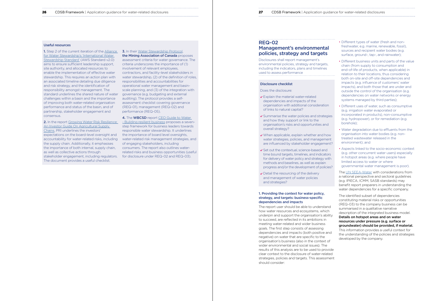## REQ-02

# Management's environmental policies, strategy and targets

Disclosures shall report management's environmental policies, strategy and targets, including the indicators, plans and timelines used to assess performance

#### Disclosure checklist

Does the disclosure:

- **▼** Explain the material water-related dependencies and impacts of the organisation with additional consideration of links to natural capital?
- **▼** Summarise the water policies and strategies and how they support or link to the organisation's risks and opportunities and overall strategy?
- When applicable, explain whether and how water strategies, policies, and management are influenced by stakeholder engagement?
- $\checkmark$  Set out the contextual, science-based and time bound targets, timelines, and indicators for delivery of water policy and strategy with methods and baselines, as well as explain progress and/or the development of policies?
- Detail the resourcing of the delivery and management of water policies and strategies?

## 1. Providing the context for water policy, strategy, and targets: business-specific dependencies and impacts

The report user should be able to understand how water resources and ecosystems, which underpin and support the organisation's ability to succeed, are reflected in its ambitions in meeting water-related and wider business goals. The first step consists of assessing dependencies and impacts (both positive and negative) on water that are specific to the organisation's business (also in the context of wider environmental and social issues). The results of this analysis are to be used to provide clear context to the disclosure of water-related strategies, policies and targets. This assessment should consider:

<span id="page-13-0"></span>

- 
- 
- 
- 
- 
- 
- 

2. In the report Growing Water Risk Resilience: [An Investor Guide On Agricultural Supply](https://www.unpri.org/download?ac=4195)  [Chains](https://www.unpri.org/download?ac=4195), PRI underlines the investors' expectations on the board-level oversight and the importance of board level oversights, accountability for water-related risks, including the supply chain. Additionally, it emphasises the importance of both internal, supply chain, as well as collective actions through stakeholder engagement, including regulators. The document provides a useful checklist.

- Different types of water (fresh and nonfreshwater, e.g. marine, renewable, fossil), sources and recipient water bodies (e.g. surface, ground-, tap-, and rainwater);
- Different business units and parts of the value chain (from supply to consumption and end-of-life of products, when applicable) in relation to their locations, thus considering both on-site and off-site dependencies and impacts (e.g. influence of customers' water impacts), and both those that are under and outside the control of the organisation (e.g. dependencies on water networks or energy systems managed by third parties);
- Different uses of water, such as consumptive (e.g. irrigation water evaporated or incorporated in products), non-consumptive (e.g. hydropower), or for remediation (e.g. borehole);
- Water degradation due to effluents from the organisation into water bodies (e.g. nontreated wastewater released in the environment); and
- Aspects linked to the socio-economic context (e.g. other concurrent water users) especially in hotspot areas (e.g. where people have limited access to water or where governmental water management is poor).

**1.** Step 2 of the current iteration of the [Alliance](https://mk0a4wsorgk6akjsiboq.kinstacdn.com/wp-content/uploads/2019/03/AWS_Standard_2.0_2019_Final.pdf) **3.** In their [Water Stewardship Protocol](https://mining.ca/wp-content/uploads/2019/06/Water-Stewardship-Protocol_Nov2018.pdf), the Mining Association of Canada proposes assessment criteria for water governance. The criteria underscores the importance of (1) involvement of relevant employees, contractors, and facility-level stakeholders in water stewardship, (2) of the definition of roles, responsibilities and accountabilities for operational water management and basinscale planning, and (3) of the integration with governance (e.g. budgeting and external auditing). The protocol provides a selfassessment checklist covering governance (REQ-01), management (REQ-02) and performance (REQ-05).

> **4.** The **WBCSD** report CEO Guide to Water [- Building resilient business](https://www.wbcsd.org/Programs/Food-and-Nature/Water/Resources/CEO-Guide-to-Water-building-resilient-business) proposes a sevenstep framework for business leaders towards responsible water stewardship. It underlines water-related risk management strategies, and of engaging stakeholders, including consumers. The report also outlines waterrelated risks and business opportunities (useful for disclosure under REQ-02 and REQ-03).

> > The [UN SEEA-Water](https://seea.un.org/sites/seea.un.org/files/seeawaterwebversion_final_en.pdf) with considerations from a national perspective and sectoral guidelines (e.g. IPIECA, ICMM, SASB standards) may benefit report preparers in understanding the water dependencies for a specific company.

The identified subset of dependencies constituting material risks or opportunities (REQ-03) to the company business can be summarised in a qualitative narrative description of the integrated business model. Details on hotspot areas and on water resources under pressure (e.g. surface or groundwater) should be provided, if material. This information provides a useful context for the understanding of the policies and strategies developed by the company.

#### Useful resources

[for Water Stewardship's 'International Water](https://mk0a4wsorgk6akjsiboq.kinstacdn.com/wp-content/uploads/2019/03/AWS_Standard_2.0_2019_Final.pdf)  [Stewardship Standard'](https://mk0a4wsorgk6akjsiboq.kinstacdn.com/wp-content/uploads/2019/03/AWS_Standard_2.0_2019_Final.pdf) (AWS Standard v2.0) aims to ensure sufficient leadership support, site authority, and allocated resources to enable the implementation of effective water stewardship. This requires an action plan with an associated timeline detailing due diligence and risk strategy, and the identification of responsibility amongst management. The standard underlines the shared nature of water challenges within a basin and the importance of improving both water-related organisation performance and status of the basin, and of partnership, stakeholder engagement and consensus.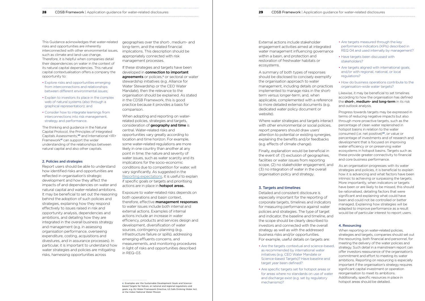This Guidance acknowledges that water-related risks and opportunities are inherently interconnected with other environmental issues, such as climate and land-use change. Therefore, it is helpful when companies detail their dependencies on water in the context of its natural capital dependencies. This natural capital contextualisation offers a company the opportunity to:

- Explore risks and opportunities emerging from interconnections and relationships between different environmental issues;
- Explain to investors its place in the complex web of natural systems (also through a graphical representation); and
- Consider how to integrate learnings from interconnections into risk management, strategy and performance.

The thinking and guidance in the Natural Capital Protocol, the Principles of Integrated Capitals Assessments,<sup>40</sup> and International <IR> Framework41 can support the wider understanding of the relationships between natural capital and also other capitals.

#### 2. Policies and strategies

When adopting and reporting on waterrelated policies, strategies and targets, consideration of **geography and time** is central. Water-related risks and opportunities vary greatly according to location and time horizon. For example, some water-related regulations are more likely in one country than another at any point in time; the nature and severity of water issues, such as water scarcity and its implications for the socio-economic conditions due to competition for water, will vary significantly. As suggested in the [Reporting expectations](#page-9-0), it is useful to explain if specific goals or targets and prioritising actions are in place in **hotspot areas.** 

Report users should be able to understand how identified risks and opportunities are reflected in organisation's strategic development and how they affect the impacts of and dependencies on water and natural capital and water-related ambitions. It may be beneficial to set out the reasoning behind the adoption of such policies and strategies, explaining how they respond effectively to issues raised in risk and opportunity analysis, dependencies and ambitions, and detailing how they are integrated in the overall business strategy and management (e.g. in assessing organisation performance, overseeing expenditure, costing, acquisitions and divestures, and in assurance processes). In particular, it is important to understand how water strategies and policies are mitigating risks, harnessing opportunities across

Exposure to water-related risks depends on both operations and basin context, therefore, effective management responses to water issues include both internal and external actions. Examples of internal actions include an increase in water efficiency, products and services design and development, diversification of water sources, contingency planning (e.g. infrastructure failure or spills), addressing emerging effluents concerns, and measurements, and monitoring procedures in light of risks and opportunities described in  $RFO-0.3$ .

geographies over the short-, medium- and long-term, and the related financial implications. This description should be appropriately connected with risk management processes.

If these strategies and targets have been developed in **connection to important** agreements or policies,<sup>n</sup> or sectoral or water stewardship initiatives (e.g. Alliance for Water Stewardship or the CEO Water Mandate), then the relevance to the organisation should be explained. As stated in the CDSB Framework, this is good practice because it provides a basis for comparison.

- Are the targets contextual and science-based, as recommended by international water initiatives (e.g. CEO Water Mandate or Science-based Targets)? Have baseline and target year been defined?
- Are specific targets set for hotspot areas or for areas where no standards on use of water and discharge exist (e.g. set by regulatory mechanisms)? n Examples are: the Sustainable Development Goals and Science-<br>n Examples are: the Sustainable Development Goals and Science-

- 
- 
- 
- 
- 
- 
- 
- 
- 
- 
- Are targets measured through the key performance indicators (KPIs) described in REQ 04 and used internally by management?
- Have targets been discussed with stakeholders?
- Are targets aligned with international goals, and/or with regional, national, or local regulations?
- How do business operations contribute to the organisation-wide water targets?

External actions include stakeholder engagement activities aimed at integrated water management influencing governance within a basin, and protection and restoration of freshwater habitats or ecosystems.

A summary of both types of responses should be disclosed to concisely exemplify the organisation approach to water management, including details on practices implemented to manage risks in the shortterm versus longer-term, and, when applicable, complemented with a reference to more detailed external documents (e.g. dedicated water policy document or website).

Where water strategies and targets interact with other environmental or social policies. report preparers should draw users' attention to potential or existing synergies, explaining the benefits and/or feedbacks (e.g. effects of climate change).

Finally, explanation would be beneficial in the event of: (1) exclusion of geographies, facilities or water issues from reporting scope, (2) no stakeholder engagement, and (3) no integration of water in the overall organisation policy and strategy.

## 3. Targets and timelines

Detailed and consistent disclosure is especially important for the reporting of corporate targets, timelines and indicators for measuring performance against water policies and strategies. The type of target and indicator, the baseline and timeline, and the scope should be clearly described to investors and connected with the overall strategy as well as with the addressed business risks and/or opportunities. For example, useful details on targets are:

Likewise, it may be beneficial to set timelines according to how the organisation has defined the short-, medium- and long-term in its risk and outlook analysis.

Progress towards targets may be expressed in terms of reducing negative impacts but also through more proactive targets, such as the percentage of clean water replenished in hotspot basins in relation to the water consumed (i.e. net positive)42, or value or percentage of investments and of research and development that is focused on improving water efficiency or on preserving water ecosystems in hotspot basins. Targets such as these provide greater connectivity to financial and core business performance.

As an organisation progresses with its water strategies and policies, it is beneficial to explain how it is advancing and what factors have been intrinsic to achieving or surpassing the targets. More importantly, when indicators or targets have been or are likely to be missed, this should be rationalised, detailing factors that were significant and explaining what could have been and could not be controlled or better managed. Explaining how strategies will be adapted to improve performance as a result would be of particular interest to report users.

## 4. Resourcing

When reporting on water-related policies, strategies and targets, companies should set out the resourcing, both financial and personnel, for meeting the delivery of the water policies and strategy. Such detail in a mainstream report can offer investors reassurance of the organisation's commitment and effort to meeting its water ambitions. Reporting on resourcing is especially important if the organisation's strategy requires significant capital investment or operation reorganisation to meet its ambitions. Additionally, specific resources in place in

based Targets for Nature, or national and regional regulations and goals, e.g. EU Water Framework Directive, US Safe Drinking Water Act, or the Indian National Water Mission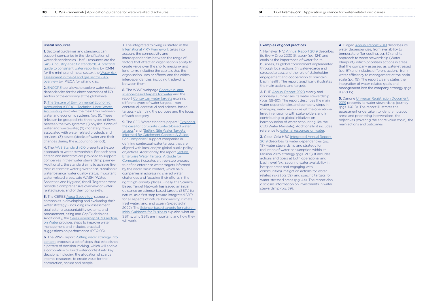Useful resources

1. Sectoral guidelines and standards can support companies in the identification of water dependencies. Useful resources are the [SASB industry-specific standards](https://navigator.sasb.org/), [A practical](https://www.icmm.com/website/publications/pdfs/water/water-reporting_en.pdf)  [guide to consistent water reporting](https://www.icmm.com/website/publications/pdfs/water/water-reporting_en.pdf) by ICMM for the mining and metal sector, the [Water risk](https://www.ipieca.org/resources/fact-sheet/water-risk-assessment-in-the-oil-and-gas-sector-an-overview/)  [assessment in the oil and gas sector - An](https://www.ipieca.org/resources/fact-sheet/water-risk-assessment-in-the-oil-and-gas-sector-an-overview/)  [overview](https://www.ipieca.org/resources/fact-sheet/water-risk-assessment-in-the-oil-and-gas-sector-an-overview/) by IPIECA for oil and gas.

2. [ENCORE](https://encore.naturalcapital.finance/en) tool allows to explore water related dependencies for the direct operations of 169 sectors of the economy at the global level.

**3.** The System of Environmental Economic [Accounting \(SEEA\) - Technical Note: Water](https://seea.un.org/sites/seea.un.org/files/water_note_final_27-10-17_clean_0.pdf)  [Accounting](https://seea.un.org/sites/seea.un.org/files/water_note_final_27-10-17_clean_0.pdf) illustrates the main links between water and economic systems (pg. 6). These links can be grouped into three types of flows between the two systems: (1) physical flows of water and wastewater, (2) monetary flows associated with water related products and services, (3) assets (stocks of water and their changes during the accounting period).

**5.** The CERES [Aqua Gauge tool](https://www.ceres.org/resources/tools/ceres-aqua-gauge-comprehensive-assessment-tool-evaluating-corporate-management) supports companies in developing and evaluating their water strategy – including risk assessment, goal-setting, accountability systems, and procurement, siting and CapEx decisions. Additionally, the [Ceres Roadmap 2030 section](https://roadmap2030.ceres.org/ai-expectation/water-supply)  [on Water](https://roadmap2030.ceres.org/ai-expectation/water-supply) provides steps to improve water management and includes practical suggestions on performance (REQ 05).

**6.** The WWF report Putting water strategy into [context](https://ago-item-storage.s3.us-east-1.amazonaws.com/8ee6a48a9f774511a5d078051979812f/WWF_Embedding_Context_into_Strategy_HR.pdf?X-Amz-Security-Token=IQoJb3JpZ2luX2VjEHYaCXVzLWVhc3QtMSJHMEUCIQDyzdDIBUHFp1XSg6iDx33TYlxqFqStgklfwT2gWa0UjAIgcsd38IPujYEuz6IJcVQpzMwrI9S3BH%2BHUUdDwegVJCgq%2BgMIXxAAGgw2MDQ3NTgxMDI2NjUiDItWTN%2BB%2BIL%2Ffj3WpCrXA9qhN%2F3RjyZwIy%2BhUVDdbu%2BkBE%2BeWHpPdcq%2F2jooCiyV%2B5tLoOfEGVttrjZ42y%2FPRNaVZDJREAN1o8TqQ85%2FuEyHk2ST%2BKh1WiuHANMYjk3kVliFb3RMneK9BsnmEHT9zXUTegguL8bNgT2V58%2FR8RmLpdnQDxTVjUxJ4R9A7HddeXkWTk1IMrM3EklbBmg7PD%2BJAZlr52lY9GcxbF4sIjOD97PD9Y6HnSNS2QpbDwicSOizh5zmcuSXOflP32r7dUBCys7xTCBMX59Pxo0YxLbwjWdCSDU8sWOGrGau9WTMj3yTlnpMz0LR7IIw0eBmiwwWdeDJqoIJFnJw9Vm6xWYnJuuV%2F%2FQsy9JO3Y0u0BYopqpjYFwNrOLzChrCCT2Rxp717L3tLwyFKmem33f8BqdjuSNYEcjzISO6svQSrZoiNeTM8Bw9U4k%2BemcJLSwpFoexjM31Cs8pdUmm8433i1NMz2t1qDEZO5T5%2F4ahjJL%2F1c8PFLNkwf52Fy%2FzLETVOsSU4%2FUl6CdqJtjSZe0iH1E31T6VXQ3JO18imU%2BTao%2BdFRmHWA7fjV%2B6mYYTe0rxSUKVxNjjeA55gzqe8aiZ7Oqh5Awfy4UFY4OPKJA5Qrj6ou2LCgM80TD%2F3ZaHBjqlAZOzFKqWbrsDTpozGbKbF5u4Bkg8MX7%2BmD2qTmqwQzlUkCXLuap%2Ff3cGTJjqsvhaARIivvE3arbCM3rGNRGHtjO6hyZA5Rns5GEP7Zs03py5Ghi4nkQ2LfJcmb3W0B37Y66JVTnoTytI1HYroINPhmAaYmLCAznJEghFFUN%2FdFRsZXnNn9N%2FcMGx3fFTRAEbBrX87bF76VOBDX%2FrP6VP2lazfM%2F1Kw%3D%3D&X-Amz-Algorithm=AWS4-HMAC-SHA256&X-Amz-Date=20210707T145015Z&X-Amz-SignedHeaders=host&X-Amz-Expires=300&X-Amz-Credential=ASIAYZTTEKKET7HTMQMG%2F20210707%2Fus-east-1%2Fs3%2Faws4_request&X-Amz-Signature=987e17b5b8715c363252a6973ed53315e9a57fff7fb89c2443748e0e7264d4b1) proposes a set of steps that establishes a pattern of decision-making, which will enable a corporation to build water context into key decisions, including the allocation of scarce internal resources, to create value for the corporation, nature and people.

**7.** The integrated thinking illustrated in the [International <IR> Framework](https://integratedreporting.org/wp-content/uploads/2021/01/InternationalIntegratedReportingFramework.pdf) takes into account the connectivity and interdependencies between the range of factors that affect an organisation's ability to create value over the short-, medium- and long-term, including the capitals that the organisation uses or affects, and the critical interdependencies, including trade-offs, between them.

4. The [AWS Standard v2.0](https://mk0a4wsorgk6akjsiboq.kinstacdn.com/wp-content/uploads/2019/03/AWS_Standard_2.0_2019_Final.pdf) presents a 5-step approach to water stewardship. For each step, criteria and indicators are provided to support companies in their water stewardship journey. Additionally, the standard aims to achieve five main outcomes: water governance, sustainable by the water basin context, which help water balance, water quality status, important water-related areas, safe WASH (Water, Sanitation and Hygiene) for all. Together these provide a comprehensive overview of waterrelated issues and of their complexity.

8. The WWF webpage Contextual and [science-based targets for water](https://wwf.panda.org/discover/our_focus/freshwater_practice/water_management/science_targets_water/?) and the report [Contextual water targets](https://ago-item-storage.s3.us-east-1.amazonaws.com/110d107c4d3f4967b08d2296e5ec329a/WWF_Contextual_Water_Targets_HR.pdf?X-Amz-Security-Token=IQoJb3JpZ2luX2VjEHYaCXVzLWVhc3QtMSJHMEUCIDe1%2BiVYl1NnfjUOq0i%2Bvdr5W%2F%2BBRWSfhBzhvom7WiBoAiEA9u1LauPaL4c1n98VHGkd1KmifBhc%2FbvZJ1HrcueK%2BKQq%2BgMIXhAAGgw2MDQ3NTgxMDI2NjUiDOT2T%2FMNaS7amqKoXirXAzrP836SH3WpSPLk8UHWBiV1e0odeopTbZljW8N6A0kMrAUwXpj%2FRMFATVZf8FuFDFi%2BozbkE3W7QisdvS3oOI7HLYPLlValnfJ0x44osEWZ9PQisF5CKS1fn0QLyp0MNHlDn%2FdTI5VIi5VKzC1aV6voTp9NCA0h%2BLhFnIzMHQo8Gf5ZNPR0dhT6cSVfPdgC8vp5fItRE%2FCntvixoQRbDo3os4%2BULUBnqHPFu4FX7GpSuD%2Brc0Oa1CY99XLopIRYnMPXXjcDRgbavgdGqPAS3wIDH%2FrcyJ%2BQAmndiEopT0jA%2BCVQCbmqeTCS4dBVkTpfARy1%2BFteMz5lppUjgWbg1Yih29vAgNvH0T%2FB7ZZcjlciOqJ2oFmB1XF2oK8mX9j02SzN6bbRF6Bux7WQJCCUE3GwhJgS1tHHIJmdOaozaNkzytxTEmEWEvCXnCEh%2FMmU7aBTzFMY5l2%2Fk7eNgWuTubv9b24B7%2FQOBOVugUH9AqaF98kamg9kK%2BWgt2tZ37ZY4f8q5Rlc0eK2S1EilmxJxW80YibKxW7KHrRNK8r84kUFW7uUwk7CZUmUwTciSZWd76fB0B%2BbbSmV6lHVNQeeQ3NVu9MufGZmpRAbFKg5BDsTE7qkqimzczDo0JaHBjqlAameCsF4opNTGx0128n%2B2Oo5oITfgs5A1XUUEZDr0EWwB%2F6CkkJdBuLFl%2FipU%2BsxzRgtkp9TxsX4QDA5b6qnOilPS%2BwgcbGZrqh6L2GDrV2gHiFpHXXGffy3a6ooaijTMFvFRxIS3lw%2FFp9g6jvnlFzfDkevorfxzRecqKdkJvMhR8j5zlFL%2BLmLytoCRL305YDtp7TgCY86sjrvSYu6NAOJcA6miw%3D%3D&X-Amz-Algorithm=AWS4-HMAC-SHA256&X-Amz-Date=20210707T145223Z&X-Amz-SignedHeaders=host&X-Amz-Expires=300&X-Amz-Credential=ASIAYZTTEKKESUK5RHGW%2F20210707%2Fus-east-1%2Fs3%2Faws4_request&X-Amz-Signature=9abc448a09320edafce18d9bde18711a8294f20619d17fc81c1fac39e3046c0f) explains different types of water targets – noncontextual, contextual and science-based targets – clarifying the purpose and the focus of each category.

**9.** The CEO Water Mandate papers "Exploring" [the case for corporate context-based water](https://ceowatermandate.org/files/context-based-targets.pdf)  [targets"](https://ceowatermandate.org/files/context-based-targets.pdf) and ["Setting Site Water Targets](https://ceowatermandate.org/watertargets/wp-content/uploads/sites/30/2019/08/CEOWaterMandateSiteWaterTargetsGuide.pdf)  [Informed By Catchment Context: A Guide](https://ceowatermandate.org/watertargets/wp-content/uploads/sites/30/2019/08/CEOWaterMandateSiteWaterTargetsGuide.pdf)  [For Companies](https://ceowatermandate.org/watertargets/wp-content/uploads/sites/30/2019/08/CEOWaterMandateSiteWaterTargetsGuide.pdf)" support companies in defining contextual water targets that are aligned with local and/or global public policy objectives. Additionally, the report [Setting](https://blueriskintel.com/wp-content/uploads/2021/05/setting-enterprise-water-targets.pdf)  [Enterprise Water Targets: A Guide for](https://blueriskintel.com/wp-content/uploads/2021/05/setting-enterprise-water-targets.pdf)  [Companies](https://blueriskintel.com/wp-content/uploads/2021/05/setting-enterprise-water-targets.pdf) illustrates a three-step process to define enterprise water targets informed companies in addressing shared water challenges and focusing their efforts in the right high-priority places. Finally, the Science Based Target Network has issued an initial guidance on science-based targets (SBTs) for nature, as a first step toward integrated SBTs for all aspects of nature: biodiversity, climate, freshwater, land, and ocean (expected in 2022). The [Science-based targets for nature -](https://sciencebasedtargetsnetwork.org/wp-content/uploads/2020/09/SBTN-initial-guidance-for-business.pdf)  [Initial Guidance for Business](https://sciencebasedtargetsnetwork.org/wp-content/uploads/2020/09/SBTN-initial-guidance-for-business.pdf) explains what an SBT is, why SBTs are important, and how they will work.

2. BHP [Annual Report 2020](https://www.bhp.com/-/media/documents/investors/annual-reports/2020/200915_bhpannualreport2020.pdf) clearly and concisely summarises its water stewardship (pgs. 59-60). The report describes the main water dependencies and company steps in managing water resources (at the operational level, in engaging with stakeholders and in contributing to global initiatives on harmonisation of water accounting like the CEO Water Mandate). Additionally, it includes reference to [external resources on water.](https://www.bhp.com/sustainability/environment/water/)

**3.** Coca-Cola HBC Integrated Annual Report [2019](https://www.coca-colahellenic.com/en/investors-and-financial/2019-integrated-annual-report) describes its water dependencies (pg. 18), water stewardship and strategy for reduction of water consumption within its Mission 2025 strategy (pgs. 21-5). It includes actions and goals at both operational and basin level (e.g. securing water availability in hotspot areas and engaging with communities), mitigation actions for waterrelated risks (pg. 59), and specific targets for water-stressed areas (pg. 44). The report also discloses information on investments in water stewardship (pg. 39).

**5.** Danone Universal Registration Document [2019](https://www.danone.com/content/dam/danone-corp/danone-com/investors/en-all-publications/2019/registrationdocuments/URD_2019_ENG_VA.pdf) presents its water stewardship journey (pgs. 166-8). The report illustrates the assessment undertaken to identify hotspot areas and prioritising interventions, the objectives (covering the entire value chain), the main actions and outcomes.

#### Examples of good practices

1. Heineken N.V. [Annual Report 2019](https://www.theheinekencompany.com/sites/theheinekencompany/files/Investors/financial-information/results-reports-presentations/heineken-nv-hnv-2019-annual-report.pdf) describes its Every Drop 2030 Strategy (pg. 124) and explains the importance of water for its business, its global commitment implemented through local actions (in water-scarce and stressed areas), and the role of stakeholder engagement and cooperation to maintain basin health. The report graphically illustrates the main actions and targets.

4. Diageo [Annual Report 2019](https://www.diageo.com/PR1346/aws/media/7948/b3801-000797_diageo_ar2019.pdf) describes its water dependencies, from availability to temperature (for cooling, pg. 52) and its approach to water stewardship (Water Blueprint), which prioritises actions in areas that the company assessed as water-stressed (pg. 51) and includes different actions, from water efficiency to management at the basin scale (pg. 15). The report clearly states the integration of water-related goals and management into the company strategy (pgs. 8 and 15).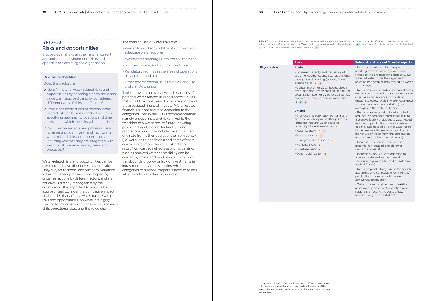<span id="page-16-0"></span>

# REQ-03 Risks and opportunities

Disclosures shall explain the material current and anticipated environmental risks and opportunities affecting the organisation

#### Disclosure checklist

#### Does the disclosure:

- v Identify material water-related risks and opportunities by adopting a basin-scale and value chain approach, and by considering different types of risks (see Table 1)?
- Explain the implications of material waterrelated risks on business and value chains, specifying geographic locations and time horizons in which the risks will materialise?
- Describe the systems and processes used for assessing, identifying, and monitoring water-related risks and opportunities, including whether they are integrated with existing risk management systems and processes?

Water-related risks and opportunities can be complex and have distinctive characteristics. They subject to spatial and temporal variations, follow non-linear pathways, are shaped by uncertain actions by different actors, and are not always directly manageable by the organisation. It is important to adopt a basin approach and consider the cumulative impact of all parties that affect a water basin. Water risks and opportunities, however, are highly specific to the organisation, the sector, and each of its operational sites, and the value chain.

The main causes of water risks are:

- Availability and accessibility of sufficient and adequate water supplies;
- Wastewater discharges into the environment;
- Socio-economic and political conditions;
- Regulatory regimes in the areas of operations or suppliers; and also
- Other environmental issues such as land use and climate change.

(affecting interannual or seasonal variability of water resources) c

- Water scarcity  $\begin{array}{|c|c|} \hline \text{c} & \text{c} & \text{c} \\\hline \end{array}$ - Water stress C L
- Changes in temperatures c
- Rising sea level c
- Coastal erosion c
- Ocean acidification c

Table 1 provides an overview and examples of potential water-related risks and opportunities that should be considered by organisations and the associated financial impacts. Water-related financial risks are grouped according to the categories used in the TCFD recommendations, namely physical risks and risks linked to the transition to a water secure future, including policy and legal, market, technology, and reputational risks. The included examples can originate from either operations or from context (i.e. water basin conditions) and some of them can fall under more than one risk category or result from cascade effects (e.g. physical risks such as reduced water accessibility can be caused by policy and legal risks, such as poor transboundary policy or lack of investments in infrastructures). When selecting which categories to disclose, preparers need to assess what is material to their organisation.

Table 1. Examples of water-related risks and opportunities, with the potential financial impacts that may be identified by companies, are provided in the table below. Operational and basin43 (i.e. due to context) risks are labelled with O and B , respectively. Climate-water risks are identified with C and those that are linked to land-use change with L .

#### Physical risks Acute

o Happened already in German Rhine river in 2018: transportation activities were interrupted due to low levels in the river and this event affected the supply of raw materials for some major chemical companies.

## **Risks Potential business and financial impacts**

extreme weather events such as cyclones,

# - Increased severity and frequency of droughts and flooding (coastal, fluvial, groundwater) c L - Contamination of water bodies (both

O B L

fresh- and non-freshwater) caused by the organisation itself or by other companies or cities located in the same water basin

#### Chronic

- Changes in precipitation patterns and extreme variability in weather patterns

- Impaired assets due to damages resulting from floods or cyclones (not limited to the organisation's property, e.g. water infrastructures the organisation relies on or energy supply relying on water for cooling)

- Reduced revenue and/or increased costs due to interruption of operations or supply chain as a consequence of floods or drought (e.g. low levels in water ways used for raw materials transportation),<sup>o</sup> or damages to the water network;

- Reduced revenues due to interrupted, reduced, or damaged production due to the unavailability of adequate water (used as input to production, or for industrial cooling) also caused by other water users in the basin and increased costs due to higher use of water from the distribution network (e.g. rather than rainwater)

- Increased insurance premiums and potential for reduced availability of insurance on assets

- Increased CapEx due to adaption to future climate and environmental scenarios (e.g. rainwater tanks, protection against floods)

- Reduced productivity due to lower water availability and consequent rethinking of production processes or timing (e.g. agricultural production)

- Write-offs, early retirement of existing assets and relocation of operations and suppliers, affecting the costs of raw materials (e.g. transportation)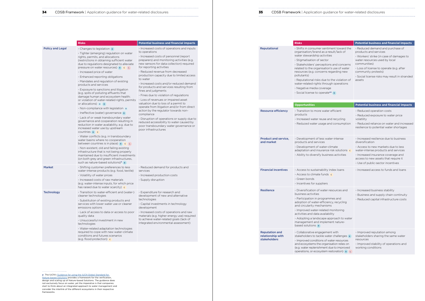## **34** CDSB Framework | Application guidance for water-related disclosures **35** CDSB Framework | Application guidance for water-related disclosures

|                         | <b>Risks</b>                                                                                                                                                                                                                                                                                                                                                                                                                                                                                                         | <b>Potential business and financial impacts</b>                                                                                                                                                                                                                                                                                                                                                                                                                                                                                                                                                                  |
|-------------------------|----------------------------------------------------------------------------------------------------------------------------------------------------------------------------------------------------------------------------------------------------------------------------------------------------------------------------------------------------------------------------------------------------------------------------------------------------------------------------------------------------------------------|------------------------------------------------------------------------------------------------------------------------------------------------------------------------------------------------------------------------------------------------------------------------------------------------------------------------------------------------------------------------------------------------------------------------------------------------------------------------------------------------------------------------------------------------------------------------------------------------------------------|
| <b>Policy and Legal</b> | - Changes to legislation B<br>- Tighter (emerging) regulation on water<br>rights, permits, and allocations<br>(restrictions in obtaining sufficient water<br>due to regulations designated to alleviate<br>pressure on water resources) <b>B C L</b><br>- Increased price of water<br>- Enhanced reporting obligations<br>- Mandates and regulation of existing<br>products and services<br>- Exposure to sanctions and litigation<br>(e.g. spills of polluting effluents that<br>damage human and ecosystem health; | - Increased costs of operations and inputs<br>to operations<br>- Increased costs of personnel (report<br>preparers) and monitoring activities (e.g.<br>new sensors for data collection) required<br>for reporting activities<br>- Reduced revenue from decreased<br>production capacity due to limited access<br>to water<br>- Increased costs and/or reduced demand<br>for products and services resulting from<br>fines and judgments<br>- Fines due to violation of regulations<br>- Loss of revenues or impaired asset<br>valuation due to loss of a permit to<br>operate from litigation and/or from direct |
|                         | or violation of water-related rights, permits<br>or allocations) $\circ$ $\circ$                                                                                                                                                                                                                                                                                                                                                                                                                                     |                                                                                                                                                                                                                                                                                                                                                                                                                                                                                                                                                                                                                  |
|                         | - Non-compliance with legislation o<br>- Ineffective (water) governance <b>B</b><br>- Lack of or weak transboundary water<br>governance and cooperation resulting in<br>reduction in water availability, e.g. due to<br>increased water use by upstream<br>$countries$ $B$ $C$                                                                                                                                                                                                                                       | action by the regulator towards non-<br>compliance<br>- Disruption of operations or supply due to<br>reduced accessibility to water caused by<br>poor transboundary water governance or<br>poor infrastructures                                                                                                                                                                                                                                                                                                                                                                                                  |
|                         | - Water conflicts (e.g. in transboundary<br>water basins where no cooperation<br>between countries is in place) $B \cap C$ L<br>- Non-existent, old and failing existing<br>infrastructure that is not being properly<br>maintained due to insufficient investments<br>(on both grey and green infrastructures,<br>such as nature-based solutions) <sup>p</sup>                                                                                                                                                      |                                                                                                                                                                                                                                                                                                                                                                                                                                                                                                                                                                                                                  |
| <b>Market</b>           | - Shifting customer preferences to less<br>water-intense products (e.g. food, textile)<br>- Volatility of water prices<br>- Increased costs of raw materials<br>(e.g. water-intense inputs, for which price<br>has raised due to water scarcity) c                                                                                                                                                                                                                                                                   | - Reduced demand for products and<br>services<br>- Increased production costs<br>- Supply disruption                                                                                                                                                                                                                                                                                                                                                                                                                                                                                                             |
| <b>Technology</b>       | - Transition to water-efficient and (water-)<br>cleaner technologies<br>- Substitution of existing products and<br>services with lower water use or cleaner<br>emissions options<br>- Lack of access to data or access to poor<br>quality data<br>- Unsuccessful investment in new<br>technologies<br>- Water-related adaptation technologies                                                                                                                                                                        | - Expenditure for research and<br>development of new and alternative<br>technologies<br>- Capital investments in technology<br>development<br>- Increased costs of operations and raw<br>materials (e.g. higher energy use) required<br>to achieve water-related goals (lack of<br>integrated environmental assessment)                                                                                                                                                                                                                                                                                          |
|                         | required to cope with new water-climate<br>conditions and futures scenarios<br>(e.g. flood protection) c                                                                                                                                                                                                                                                                                                                                                                                                             |                                                                                                                                                                                                                                                                                                                                                                                                                                                                                                                                                                                                                  |

**p** The IUCN's <u>Guidance for using the IUCN Global Standard for<br><u>[Nature-based Solutions](https://portals.iucn.org/library/sites/library/files/documents/2020-021-En.pdf)</u> provides a framework for the verification,<br>design and scaling up of Nature-based Solutions. The guidance does</u> not exclusively focus on water, yet the imperative is that companies start to think about an integrated approach to water management and consider the interlink of the different ecosystems in their respective frameworks.

| guidance for water-related disclosures |  |  |
|----------------------------------------|--|--|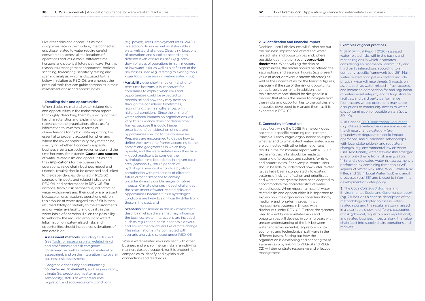Like other risks and opportunities that companies face in the modern, interconnected era, those related to water require careful consideration, across all the locations of operations and value chain, different time horizons and potential future pathways. For this reason, risk management approaches, horizon scanning, forecasting, sensitivity testing and scenario analysis, which is discussed further below in relation to REQ-06, are amongst the practical tools that can guide companies in their assessment of risk and opportunities.

#### 1. Detailing risks and opportunities

- **Assessment methods**, including tools used (see [Tools for assessing water-related risks\)](#page-19-0) and timeframes and risk categories considered, as well as details on materiality assessment, and on the integration into overall business risk assessment;
- Geographic specificity and influencing context-specific elements, such as geography, climate (i.e. precipitation patterns and seasonality), status of water resources, regulation, and socio-economic conditions

When disclosing material water-related risks and opportunities in the mainstream report, thoroughly describing them by specifying their key characteristics and explaining their relevance to the organisation, offers useful information to investors. In terms of characteristics for high quality reporting, it is essential to properly account for when and where the risk or opportunity may materialise, specifying whether it concerns a specific business area, a particular region or site and the time horizons, for instance. **Causes and sources** of water-related risks and opportunities and their *implications* for the business (on operations, value chain, business model and financial results) should be described and linked to the dependencies identified in REQ 02, sources of impacts and related indicators in REQ 04, and performance in REQ-05. For instance, from a risk perspective, indicators on water withdrawals and their quality are relevant because an organisation's operations rely on this amount of water (regardless of if it is then returned totally or partially to the environment) and on water availability and quality in the water basin of operation (i.e. on the possibility to withdraw the required amount of water). Information on water-related risks and opportunities should include considerations of and details on:

#### 2. Quantification and financial impact

Decision-useful disclosures will further set out the business implications of material waterrelated risks and opportunities and, where possible, quantify them over **appropriate** timeframes. When valuing the risks or opportunities, the reader should be offered the assumptions and essential figures (e.g. present value of asset or revenue stream affected) as well as the uncertainties for the financial figures, especially if the size of the risk or opportunity varies largely over time. In addition, the mainstream report should be designed in a manner that allows the reader to navigate from these risks and opportunities to the policies and strategies developed to manage them, as it is expected in REQ-02.

#### 3. Connecting information

In addition, while the CDSB Framework does not set out specific reporting requirements, Principle 3 encourages organisations to explain whether and to what extent water-related issues are connected with other information and results in the mainstream report, with REQ-03 explaining that links should be made to reporting of processes and systems for risks and opportunities. For example, report users should be able to understand how water-related issues have been incorporated into existing systems of risk identification and prioritisation and whether the systems have been adapted to accommodate the characteristics of waterrelated issues. When reporting material waterrelated risks and opportunities it is important to explain how the organisation considers short-, medium- and long-term issues in risk management systems in linkage with disclosures under REQ-02. Further, the systems used to identify water-related risks and opportunities will develop in coming years with greater understanding of the link between water and environmental, regulatory, socioeconomic and technological pathways in the different basins. Setting out how the organisation is developing and adapting these systems (also by linking to REQ-01 and REQ-02) will demonstrate responsive and effective management.

**3.** The Coca Cola 2020 Business and [Environmental, Social and Governance report](https://d1io3yog0oux5.cloudfront.net/cocacolacompany/files/pages/cocacolacompany/db/761/description/coca-cola-business-environmental-social-governance-report-2020.pdf) (pg. 21) includes a concise description of the methodology adopted to assess waterrelated risks and the results are summarised in a clear table showing different categories of risk (physical, regulatory and reputational) and related business impacts along the value chain (split into supply chain, operations and markets).

(e.g. poverty rates, employment rates, WASHrelated conditions), as well as stakeholders' water-related challenges. Classifying locations of operations and suppliers according to different levels of risks is useful (e.g. breakdown of areas of operations in high, medium, or low water-risk), as well as a definition of the risk classes used (e.g. referring to existing tools – see [Tools for assessing water-related risks\)](#page-19-0);

- Variability over short-, medium- and longterm time horizons. It is important for companies to explain when risks and opportunities could be expected to materialise and how they may develop through the considered timeframes, highlighting the main differences with historical conditions. Since the timing of water-related impacts on organisations will vary, this Guidance does not define time frames because this could hinder organisations' consideration of risks and opportunities specific to their businesses. Preparers are encouraged to decide how to define their own time frames according to the sectors and geographies in which they operate, and the water-related risks they face. A good practice is to consider the hydrological time boundaries in a given basin area (seasonality, return periods of hydrological events like floods etc.) also in combination with projections of different future climatic scenarios to convey uncertainty and possible ranges of future impacts. Climate change, indeed, challenges the assessment of water-related risks and opportunities because future hydrological conditions are likely to significantly differ from those in the past; and
- **Scenarios** considered in the risk assessment, describing which drivers that may influence the business-water interactions are included, such as regulations, socio-economic drivers, and environmental drivers like climate change. This information is interconnected with scenario analysis disclosed under REQ-06.

Where water-related risks intersect with other business and environmental risks in amplifying manners (i.e. aggregate risks), it is prudent for companies to identify and explain such connections and feedbacks.

### Examples of good practices

1. BHP [\(Annual Report 2020](https://www.bhp.com/investor-centre/annual-report-2020/)) assessed water-related risks within the basins and marine regions in which it operates, considering environmental, community and third party interactions according to a company-specific framework (pg. 25). Main water-related principal risk factors include physical water-climate threats (impacts on assets, such as water-related infrastructures, and increased competition for and regulation of water), asset integrity and tailings storage facilities, and third party performance (contractors whose operations may cause disruptions to community access to water, e.g. contamination of potable water) (pgs. 30-40).

2. In Danone [2019 Registration Document](https://www.danone.com/content/dam/danone-corp/danone-com/investors/en-all-publications/2019/registrationdocuments/URD_2019_ENG_VA.pdf) (pg. 24) water-related risks are embedded in the climate change category (e.g. groundwater degradation could impact operations, and subsidiaries' relationships with local stakeholders), and regulatory changes (e.g. environmental law on water use). Additionally, water stewardship emerged as a priority theme from risk analysis (pg. 143), and a dedicated water risk assessment is performed by combining three tools (WRI Aqueduct Water Risk Atlas, WWF Water Risk Filter, and GEMI Local Water Tool) and audit processes (pg. 166) and is used to inform the development of water policy.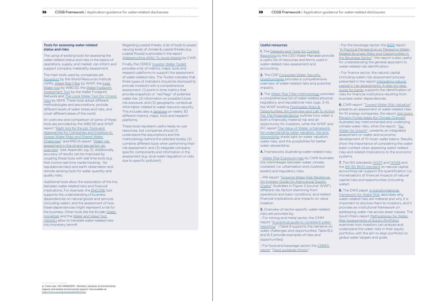q Check also "ISO 14008:2019 - Monetary valuation of environmental impacts and related environmental aspects" also available at: <https://www.iso.org/standard/43243.html>

1. The Datasets and Tools for Context [Reporting](https://ceowatermandate.org/disclosure/resources/datasets/) by the CEO Water Mandate provide a useful list of resources and terms used in water-related risks assessment and accounting.

2. The CDP Corporate Water Security [Questionnaires](https://guidance.cdp.net/en/tags?cid=15&ctype=theme&gettags=0&idtype=ThemeID&incchild=1µsite=0&otype=Questionnaire&page=1&tgprompt=TG-124%2CTG-127%2CTG-125) provides a comprehensive overview of water-related risks and potential impacts.

### Useful resources

**3.** The [Water Risk Filter methodology](https://waterriskfilter.panda.org/en/Explore/DataAndMethod) provides a comprehensive list of water-related physical, regulatory, and reputational risks (pgs. 3-4), the WWF briefing [Freshwater Risks &](https://wwfeu.awsassets.panda.org/downloads/wwf_waterrisk_financialvalue_part4_keypiece_web.pdf)  [Opportunities: An Overview and Call To Action](https://wwfeu.awsassets.panda.org/downloads/wwf_waterrisk_financialvalue_part4_keypiece_web.pdf)  [For The Financial Sector](https://wwfeu.awsassets.panda.org/downloads/wwf_waterrisk_financialvalue_part4_keypiece_web.pdf) outlines how water is both a financially material risk and an opportunity for investors, while the WWF and IFC report The Value of Water: a framework [for understanding water valuation, risk and](https://commdev.org/pdf/publications/The-Value-of-Water-Discussion-Draft-Final-August-2015.pdf)  [stewardship](https://commdev.org/pdf/publications/The-Value-of-Water-Discussion-Draft-Final-August-2015.pdf) sheds light on water valuation, water risks, and the possibilities for better water stewardship.

**5.** Overview of sector-specific water-related risks are provided by:

4. Frameworks illustrating water-related risks:

- [Water Risk Exposure map](https://www.chinawaterrisk.org/the-big-picture/water-risk-exposure/) by CWR illustrates the interlinkages between water, climate, clustered (i.e. urbanisation and clustered assets) and regulatory risks.

- PRI report ["Growing Water Risk Resilience:](https://www.unpri.org/download?ac=4195)  [An Investor Guide On Agricultural Supply](https://www.unpri.org/download?ac=4195)  [Chains"](https://www.unpri.org/download?ac=4195) illustrates in Figure 2 (source: WWF) different risk factors stemming from operations and basin conditions, and related financial implications and impacts on value creation.

- For mining and metal sector, the ICMM report ["A practical guide to consistent water](http://icmm.uat.byng.uk.net/water-disclosure-standard)  [reporting](http://icmm.uat.byng.uk.net/water-disclosure-standard)" (Table 9 supports the narrative on water challenges and opportunities; Table B.2. and B.3 provide examples of risks and opportunities);

8. The DWS paper A transformational [framework for Water Risk](https://www.dws.com/en-us/insights/global-research-institute/a-transformational-framework-for-water-risk/) describes why water-related risks are material and why it is important to disclose them to investors, and it provides an institutional framework on addressing water risk across asset classes. The South Pole's report Methodology for Water [Risk Assessments of Equity Portfolios](https://www.ceres.org/sites/default/files/Methodology%20for%20Water%20Risk%20Assessments%20of%20Equity%20Portfolios.pdf) examines how investors can analyse and understand the water risks in their equity portfolios with the aim to align portfolios to global water targets and goals.

- For food and beverage sector, the [CERES](https://www.ceres.org/sites/default/files/reports/2019-10/FOT2019_Executive_Summary.pdf)  [report](https://www.ceres.org/sites/default/files/reports/2019-10/FOT2019_Executive_Summary.pdf) "[Feed ourselves thirsty](https://feedingourselvesthirsty.ceres.org/water-risks-and-food-sector)";

- For the beverage sector, the [BIER](https://www.bieroundtable.com/news/bier-releases-practical-perspective-on-managing-water-related-business-risk/) report ["A Practical Perspective on Managing Water-](http://shift.tools/iframe/775?&refer=https%3A%2F%2Fshift.tools%2Fresources%2F775)[Related Business Risks and Opportunities in](http://shift.tools/iframe/775?&refer=https%3A%2F%2Fshift.tools%2Fresources%2F775)  [the Beverage Sector](http://shift.tools/iframe/775?&refer=https%3A%2F%2Fshift.tools%2Fresources%2F775)"; the report is also useful for understanding the general approach to water-related risk identification;

- For finance sector, the natural capital (including water) risk assessment process presented in the report [Integrating natural](https://naturalcapital.finance/wp-content/uploads/2019/01/NCFA-Phase-2-Report.pdf)  [capital in risk assessments: A step-by-step](https://naturalcapital.finance/wp-content/uploads/2019/01/NCFA-Phase-2-Report.pdf)  [guide for banks](https://naturalcapital.finance/wp-content/uploads/2019/01/NCFA-Phase-2-Report.pdf) supports the identification of risks for financial institutions resulting from business water dependencies.

Additional tools allow the exploration of the link between water-related risks and financial implications. For example, the [ENCORE](https://encore.naturalcapital.finance/en/about) tool supports the understanding of business dependencies on natural goods and services (including water), and the assessment of how these dependencies might represent a risk for the business. Other tools like the Ecolab [Water](https://waterriskmonetizer.com)  [monetizer](https://waterriskmonetizer.com) and the [Water and Value Tool](https://waterriskfilter.panda.org/en/Value/ValuePotentiallyAffectedTool)  [\(WAVE\)](https://waterriskfilter.panda.org/en/Value/ValuePotentiallyAffectedTool) allow to translate water-related risks into monetary terms<sup>q</sup>.

6. CWR report "[Toward Water Risk Valuation"](https://www.chinawaterrisk.org/wp-content/uploads/2016/08/China-Water-Risk-Report-2016-Toward-Water-Risk-Valuation-WebM.pdf) presents an assessment of water-related risks for 10 energy companies, the report [Are Asia's](https://www.aigcc.net/wp-content/uploads/2019/04/Are-Asia-Pension-Funds-ready-for-Climate-Change_FINAL.pdf)  [Pension Funds ready for Climate Change?](https://www.aigcc.net/wp-content/uploads/2019/04/Are-Asia-Pension-Funds-ready-for-Climate-Change_FINAL.pdf) illustrates key interconnected and underlying climate-water risks, while the report, "[No](https://www.chinawaterrisk.org/wp-content/uploads/2018/09/CWR-Report-No-Water-No-Growth.pdf)  [Water No Growth"](https://www.chinawaterrisk.org/wp-content/uploads/2018/09/CWR-Report-No-Water-No-Growth.pdf), presents an integrated assessment on water and economic development of 10 Asian water basins. Results show the importance of considering the water basin context when assessing water-related risks and related implications to the economic systems.

7. The ISO standards [14007](https://www.iso.org/standard/70139.html) and [14008](https://www.iso.org/standard/43243.html) and the [BSI BS 8632 standard](https://standardsdevelopment.bsigroup.com/projects/2019-02487#/section) on natural capital accounting can support the quantification (i.e. monetisation) of financial impacts of natural capital risks and opportunities (including water).

#### <span id="page-19-0"></span>**38** CDSB Framework | Application guidance for water-related disclosures **39** CDSB Framework | Application guidance for water-related disclosures

## Tools for assessing water-related status and risks

The using of existing tools for assessing the water-related status and risks in the basins of operations, supply, and market, can inform and support company materiality assessment.

The main tools used by companies are [Aqueduct](https://www.wri.org/aqueduct/) by the World Resources Institute (WRI), [Water Risk Filter](https://waterriskfilter.panda.org/) by WWF, the [India](https://www.wbcsd.org/Programs/Food-and-Nature/Water/News/New-and-Improved-Platform-for-Stakeholders-to-Mitigate-and-Manage-Water-Risk-in-India)  [Water tool](https://www.wbcsd.org/Programs/Food-and-Nature/Water/News/New-and-Improved-Platform-for-Stakeholders-to-Mitigate-and-Manage-Water-Risk-in-India) by WBCSD, the Water Footprint **[Assessment Tool](https://www.waterfootprintassessmenttool.org/) by the Water Footprint** Network and [The Local Water Tool \(for Oil and](http://gemi.org/localwatertool/)  [Gas\)](http://gemi.org/localwatertool/) by GEMI. These tools adopt different methodologies and assumptions, provide different levels of water stress and risks, and cover different areas of the world.

An overview and comparison of some of these tools are provided by the WBCSD and WWF report ["Right tool for the job: Tools and](https://www.wbcsd.org/Programs/Food-and-Nature/Water/Resources/Right-tool-for-the-job)  [Approaches for Companies and Investors to](https://www.wbcsd.org/Programs/Food-and-Nature/Water/Resources/Right-tool-for-the-job)  [Assess Water Risks and Shared Water](https://www.wbcsd.org/Programs/Food-and-Nature/Water/Resources/Right-tool-for-the-job)  [Challenges](https://www.wbcsd.org/Programs/Food-and-Nature/Water/Resources/Right-tool-for-the-job)" and IPIECA report ["Water risk](https://www.ipieca.org/resources/fact-sheet/water-risk-assessment-in-the-oil-and-gas-sector-an-overview/)  [assessment in the oil and gas sector: an](https://www.ipieca.org/resources/fact-sheet/water-risk-assessment-in-the-oil-and-gas-sector-an-overview/)  [overview](https://www.ipieca.org/resources/fact-sheet/water-risk-assessment-in-the-oil-and-gas-sector-an-overview/)" (see Appendix, pg. 5). Additionally, accuracy of results can be improved by coupling these tools with real time tools (e.g. that involve real time media tracking - for reputational risks) and earth observation and remote sensing tools for water quantity and quality risks.

Regarding coastal threats, a list of tools to assess varying levels of climate & coastal threats (e.g. coastal floods) is provided in the report [Waterproofing APAC To Avoid Atlantis](https://www.chinawaterrisk.org/notices/waterproofing-apac-to-avoid-atlantis/) by CWR.

Finally, the CERES' [Investor Water Toolkit](https://www.ceres.org/resources/toolkits/investor-water-toolkit/details#metrics-and-data-to-support-buysell-analysis) provides a list of metrics, maps, tools and research platforms to support the assessment of water-related risks. The Toolkit indicates that three types of indicators should be disclosed to provide investors with a comprehensive assessment: (1) point-in-time metrics that provide snapshots or "red flags" of potential water risk, (2) information on possible future risk exposure, and (3) geographic contextual information related to water resource security. This includes also a [database](https://www.ceres.org/sites/default/files/2020-12/ToolkitMetricsMaps2020_update.xlsx) on nearly 30 different metrics, maps, tools and research platforms.

These tools represent useful ready-to-use resources, but companies should (1) understand the assumptions and the methodology behind the selected tool(s), (2) combine different tools when performing their risk assessment, and (3) integrate companyspecific components and information in the assessment (e.g. local water regulation or risks due to specific pollutant).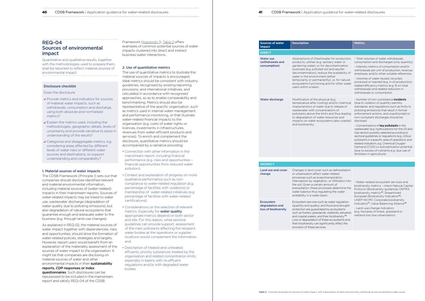### <span id="page-20-0"></span>**40** CDSB Framework | Application guidance for water-related disclosures **41** CDSB Framework | Application guidance for water-related disclosures

# REQ-04 Sources of environmental impact

Quantitative and qualitative results, together with the methodologies used to prepare them, shall be reported to reflect material sources of environmental impact

#### Disclosure checklist

Does the disclosure:

- ▼ Provide metrics and indicators for sources of material water impacts, such as withdrawals, consumption and discharge, using both absolute and normalised metrics?
- $\vee$  Explain the metrics used, including the methodologies, geographic details, levels of uncertainty and provide narrative to assist in understanding of the results?
- Categorise and disaggregate metrics, e.g. considering areas affected by different levels of water risks or different water sources and destinations, to support understanding and comparability?

#### 1. Material sources of water impacts

questionnaires. Such disclosures can be repurposed to be included in the mainstream report and satisfy REQ-04 of the CDSB

The CDSB Framework (Principle 1) sets out that companies should disclose identified relevant and material environmental information, including material sources of (water-related) impacts in their mainstream reports. Sources of water-related impacts may be linked to water use, wastewater discharge (degradation of water quality due to polluting emissions), but also degradation of natural ecosystems that guarantee enough and adequate water to the business (e.g. through land-use changes).

As explained in REQ 02, the material sources of water impact together with dependencies, risks and opportunities, should drive the formation of water-related policies, strategies and targets. However, report users would benefit from an explanation of the materiality assessment of the sources of water impact to the organisation. It might be that companies are disclosing on material sources of water and other environmental impacts in their sustainability reports, CDP responses or index

Framework [\(Appendix 1\)](#page-26-0). Table 2 offers examples of common potential sources of water impacts clustered into direct and indirect business-water interactions.

#### 2. Use of quantitative metrics

The use of quantitative metrics to illustrate the material sources of impacts is encouraged. Ideal metrics should be consistent with industry guidelines, recognised by existing reporting provisions, and international initiatives, and calculated in accordance with recognised approaches, so as to enable comparability and benchmarking. Metrics should also be representative of the specific organisation, such as metrics used in internal water management and performance monitoring, or that illustrate water-related financial impacts to the organisation (e.g. costs of water rights or licences, investments in infrastructures, revenues from water-efficient products and services). To enrich and complement the disclosure, quantitative metrics should be accompanied by a narrative providing:

# $L$ and  $L$ change

Protocol (Biodiversity guidance); DEFRA biodiversity metrics<sup>45</sup>; Streamlined European Biodiversity Indicators<sup>46</sup>; UNEP-WCMC Corporate biodiversity indicators<sup>47</sup>; Value Balancing Alliance<sup>48</sup>

#### **Ecosystem** degradation and loss of biodiversity

- Connection with other information in the mainstream report, including financial performance (e.g. risks and opportunities – financial opportunities from reduced water pollution);
- Context and explanation of progress on more qualitative performance such as noncompliance to water-related regulation (e.g. percentage of facilities with violations) or membership of water-related initiatives (e.g. percentage of facilities with water-related certifications);
- Considerations on the selection of relevant metrics. Especially for **water quality**. appropriate metrics depend on both sector and site. For this reason, while sectoral guidelines can provide support, assessment of the main pollutants affecting the recipient water bodies at the operations or supplier locations would complement the information; and
- Description of treated and untreated effluents, priority substances treated by the organisation and related concentration limits, especially in basins with no effluent regulations and/or with degraded water bodies.

| <b>Sources of water</b><br><b>Description</b><br>impact |                                                                                                                                                                                                                                                                                                                                                                                                  | <b>Metrics</b>                                                                                                                                                                                                                                                                                                                                                                                                                                                                                                                                                                                                                                                                                         |  |  |
|---------------------------------------------------------|--------------------------------------------------------------------------------------------------------------------------------------------------------------------------------------------------------------------------------------------------------------------------------------------------------------------------------------------------------------------------------------------------|--------------------------------------------------------------------------------------------------------------------------------------------------------------------------------------------------------------------------------------------------------------------------------------------------------------------------------------------------------------------------------------------------------------------------------------------------------------------------------------------------------------------------------------------------------------------------------------------------------------------------------------------------------------------------------------------------------|--|--|
| <b>DIRECT</b>                                           |                                                                                                                                                                                                                                                                                                                                                                                                  |                                                                                                                                                                                                                                                                                                                                                                                                                                                                                                                                                                                                                                                                                                        |  |  |
| <b>Water use</b><br>(withdrawals and<br>consumption)    | Abstractions of (fresh) water for production,<br>products, utilities (e.g. sanitary water or<br>gardening water), or for decontamination<br>purposes (e.g. polluted soil and aquifer<br>decontamination), reduce the availability of<br>water in the environment (either<br>temporarily or permanently), i.e. for natural<br>ecosystems functioning and for other water<br>users within a basin. | - Total volumes of water withdrawals.<br>consumption and discharges (only quantity)<br>- Intensity metrics of consumption and/or<br>withdrawals per unit of production, revenue,<br>employee, and/or other suitable references<br>- Volumes of water reused, recycled,<br>produced or injected (e.g. in oil production),<br>related efficiency metrics (e.g. % on total<br>withdrawals) and related reduction in<br>withdrawals or consumption                                                                                                                                                                                                                                                         |  |  |
| <b>Water discharge</b>                                  | Modification of the physical (e.g.<br>temperature after cooling) and/or chemical<br>characteristics of water due to release of<br>wastewater with concentrations of<br>pollutants above the limits and thus leading<br>to degradation of water resources and<br>impacts on water ecosystems (also coastal)<br>and biodiversity.                                                                  | - Number of non-compliance incidents<br>(due to violation of quantity permits,<br>standards, and regulations such as limits to<br>polluting emissions) that result in formal<br>enforcement actions, and unauthorized or<br>non-compliant discharges should be<br>disclosed<br>- Concentrations of key pollutants in the<br>wastewater (e.g. hydrocarbons for the Oil and<br>Gas sector) possibly selected according to<br>sectoral guidelines or regulations (e.g. critical<br>pollutants in a specific area of operation), and<br>related indicators, e.g. Chemical Oxygen<br>Demand (COD) or eutrophication potential<br>(due to excess of nutrients e.g. due use of<br>fertilizers in agriculture) |  |  |
| <b>INDIRECT</b>                                         |                                                                                                                                                                                                                                                                                                                                                                                                  |                                                                                                                                                                                                                                                                                                                                                                                                                                                                                                                                                                                                                                                                                                        |  |  |
| Land use and cover                                      | Changes in land cover such as deforestation                                                                                                                                                                                                                                                                                                                                                      |                                                                                                                                                                                                                                                                                                                                                                                                                                                                                                                                                                                                                                                                                                        |  |  |
| change                                                  | or urbanization affect water-related<br>processes such as evapotranspiration,<br>interception by vegetation, or infiltration into<br>the soil. Given a certain amount of<br>precipitation, these processes determine the                                                                                                                                                                         | - Water-related ecosystem services and<br>biodiversity metrics - check Natural Capital<br>Protocol (Biodiversity quidance): DEFRA                                                                                                                                                                                                                                                                                                                                                                                                                                                                                                                                                                      |  |  |

#### **INDI**

water balance thus regulating the water availability in a water basin.

> - Land-use change indicators (e.g. hectares of forest, grassland or wetland lost due urbanization)

Ecosystem services such as water regulation (quantity and quality), and flood and drought protection are guaranteed by ecosystems such as forests, grasslands, wetlands, estuaries and coastal waters, and their biodiversity.<sup>49</sup> Loss or degradation of these ecosystems and their biodiversity can significantly affect the provision of these services.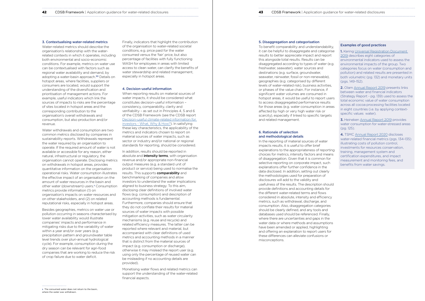### **42** CDSB Framework | Application guidance for water-related disclosures **43** CDSB Framework | Application guidance for water-related disclosures

#### 3. Contextualising water-related metrics

Water-related metrics should describe the organisation's relationship with the waterrelated contexts in which it operates, including both environmental and socio-economic conditions. For example, metrics on water use can be contextualised with factors such as regional water availability and demand, by adopting a water-basin approach.<sup>50</sup> Details on hotspot areas, where facilities, suppliers or consumers are located, would support the understanding of the diversification and prioritisation of management actions. For example, useful indicators which link the sources of impacts to risks are the percentage of sites located in hotspot areas and the corresponding contribution to the organisation's overall withdrawals and consumption, but also production and/or revenue.

Water withdrawals and consumption are two common metrics disclosed by companies in sustainability reports. Withdrawals represent the water required by an organisation to operate. If the required amount of water is not available or accessible for any reason, either natural, infrastructural or regulatory, the organisation cannot operate. Disclosing metrics on withdrawals in hotspot areas, provides quantitative information on the organisation operational risks. Water consumption illustrates the effective impact of an organisation on the amount of water resources in the basin and other water (downstream) users.<sup>8</sup> Consumption metrics provide information (1) on organisation's impacts on water resources and on other stakeholders, and (2) on related reputational risks, especially in hotspot areas.

When reporting results on material sources of water impacts, it should be considered what constitutes decision-useful information – consistency, comparability, clarity and verifiability – as set out in Principles 4, 5 and 6 of the CDSB Framework (see the CDSB report [Decision-useful climate-related information for](https://www.cdsb.net/decision-useful)  [investors - What, Why & How?\)](https://www.cdsb.net/decision-useful). In satisfying these key characteristics, the applicability of the metrics and indicators chosen to report on material sources of water impacts, such as sector or industry and/or national or regional standards for reporting, should be considered.

Besides geographies, metrics on water use or pollution occurring in seasons characterised by lower water availability would illustrate companies' impacts and performance in mitigating risks due to the variability of water within a year and/or over years (e.g. precipitation pattern and groundwater table level trends over pluri-annual hydrological cycle). For example, consumption during the dry season can be relevant for agri-food companies that are working to reduce the risk of crop failure due to water deficit.

Finally, indicators that highlight the contribution of the organisation to water-related societal conditions, e.g. price paid for the water consumed versus the 'fair' price, but also percentage of facilities with fully functioning WASH for employees in areas with limited access to clean water, can clarify the benefits of water stewardship and related management, especially in hotspot areas.

#### 4. Decision-useful information

**1.** Kering Universal Registration Document [2019](https://keringcorporate.dam.kering.com/m/4727d00d80ab511e/original/2019-Universal-Registration-Document-.pdf) describes eight categories of environmental indicators used to assess the environmental impacts of the group. Two categories focus on water (consumption and pollution) and related results are presented in both volumetric (pg. 132) and monetary units (pgs. 149-152).

2. Olam [Annual Report 2019](https://www.olamgroup.com/content/dam/olamgroup/investor-relations/ir-library/annual-reports/annual-reports-pdfs/olam-annual-report-fy19_3-in-1.pdf) presents links between water and financial indicators (Strategy Report - pg. 139) used to assess the total economic value of water consumption across all cocoa processing facilities located in eight countries (i.e. by applying contextspecific values water).

In addition, results should be reported in absolute and **intensity terms**, with organisation revenue and/or appropriate non-financial output measures (e.g. a standard unit of product or service) being used to normalise the results. This supports **comparability** and benchmarking of companies and allow investors to understand the water implications aligned to business strategy. To this aim, disclosing clear definitions of involved water flows (e.g. consumption) and description of accounting methods is fundamental. Furthermore, companies should ensure that they do not conflate their results for material sources of water impacts with possible mitigation activities, such as water circularity mechanisms (e.g. reuse and recycle) and related efficiency measures. The latter can be reported where relevant and material, but accompanied with clear definitions of used metrics and accounting methods in a manner that is distinct from the material sources of impact (e.g. consumption or discharge), otherwise it may mislead the report user (e.g. using only the percentage of reused water can be misleading if no accounting details are provided).

Monetising water flows and related metrics can support the understanding of the water-related financial aspects.

#### 5. Disaggregation and categorisation

To benefit comparability and understandability, it can be helpful to disaggregate and categorise results to better appreciate impact and report this alongside total results. Results can be disaggregated according to types of water (e.g. freshwater, seawater), water sources and destinations (e.g. surface, groundwater, seawater, rainwater, fossil or non-renewable), geographies (e.g. categorised by different levels of water-related risk), business activities, or phases of the value chain. For instance, if significant water volumes are consumed in hotspot areas, it would be useful to report users to access disaggregated performance results for those areas (e.g. water consumption in areas affected by high or very high water risk or scarcity), especially if linked to specific targets and related management.

#### 6. Rationale of selection and methodological details

In the reporting of material sources of water impacts results, it is useful to offer brief explanations to the appropriateness of reporting choices for metrics, intensity factors and means of disaggregation. Given that it is common for selective reporting on corporate impact, such explanations offer further confidence in the data disclosed. In addition, setting out clearly the methodologies used for preparation of disclosures will add to the validity and usefulness of the results. The description should provide definitions and accounting details for the different water-related terms and flows considered in absolute, intensity and efficiency metrics, such as withdrawal, discharge, and consumption. Also, disaggregation categories should be clearly defined, and any tools and databases used should be referenced. Finally, where there are uncertainties and gaps in the water data or where methods and assumptions have been amended or applied, highlighting and offering an explanation to report users for these differences can alleviate confusions or misconceptions.

s. The consumed water does not return to the basin where the water was withdrawn

### Examples of good practices

3. Heineken [Annual Report 2019](https://www.carlsberggroup.com/media/35966/carlsberg-as-annual-report-2019.pdf) provides water consumption for water-stressed areas (pg. 125).

4. TSMC [Annual Report 2020](https://investor.tsmc.com/sites/ir/annual-report/2020/2020Annual%20Report_E_%20.pdf) discloses water-related financial metrics (pgs. 134-135) illustrating costs of pollution control, investments for resources conservation, training, management system and certification expenditures, and impact measurement and monitoring fees, and benefits from water savings.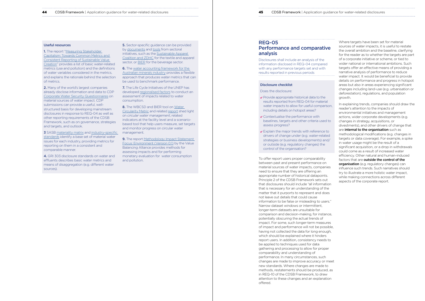#### <span id="page-22-0"></span>**44** CDSB Framework | Application guidance for water-related disclosures **45** CDSB Framework | Application guidance for water-related disclosures

#### Useful resources

**1.** The report "Measuring Stakeholder [Capitalism: Towards Common Metrics and](http://www3.weforum.org/docs/WEF_IBC_Measuring_Stakeholder_Capitalism_Report_2020.pdf)  [Consistent Reporting of Sustainable Value](http://www3.weforum.org/docs/WEF_IBC_Measuring_Stakeholder_Capitalism_Report_2020.pdf)  [Creation"](http://www3.weforum.org/docs/WEF_IBC_Measuring_Stakeholder_Capitalism_Report_2020.pdf) provides a list of basic water-related metrics (use and pollution) and the definitions of water variables considered in the metrics, and explains the rationale behind the selection of metrics.

2. Many of the world's largest companies already disclose information and data to CDP [Corporate Water Security Questionnaires](https://guidance.cdp.net/en/tags?cid=20&ctype=theme&gettags=0&idtype=ThemeID&incchild=1µsite=0&otype=Questionnaire&page=1&tgprompt=TG-124%2CTG-127%2CTG-125) on material sources of water impact. CDP submissions can provide a useful, wellstructured basis for developing mainstream disclosures in response to REQ-04 as well as other reporting requirements of the CDSB Framework, such as on governance, strategies and targets, and outlook.

3 SASB [materiality matrix](https://materiality.sasb.org/) and industry-specific [standards](https://www.sasb.org/standards-overview/download-current-standards/) identify a base set of material water issues for each industry, providing metrics for reporting on them in a consistent and comparable manner.

**5.** Sector-specific guidance can be provided by [documents](https://mrsl.roadmaptozero.com/?guidance=1) and [tools](https://www.roadmaptozero.com/landingpage/clearsteam) from sectoral initiatives, such as the [Sustainable Apparel](https://apparelcoalition.org/)  [Coalition and ZDHC](https://apparelcoalition.org/) for the textile and apparel sector, or [BIER](https://www.bieroundtable.com/) for the beverage sector.

6. The water accounting framework for the [Australian minerals industry](https://minerals.org.au/water-accounting-framework-australian-minerals-industry) provides a flexible approach that produces water metrics that can be used to benchmark performance.

7. The Life Cycle Initiatives of the UNEP has developed [regionalised factors](https://www.lifecycleinitiative.org/training-resources/lcia-cfs/) to conduct an assessment of impacts related to water consumption.

8. The WBCSD and BIER tool on Water [Circularity Metric](https://www.wbcsd.org/Programs/Food-and-Nature/Water/Resources/Water-Circularity-Metric-Tool-and-guidance-note) and related [report](https://www.wbcsd.org/contentwbc/download/11310/166604/1) shed light on *circular water management*, related indicators at the facility level and a scenariobased tool that help users measure, set targets and monitor progress on circular water management.

9. The report Methodology Impact Statement [Focus: Environment \(Version 0.1\)](https://www.value-balancing.com/_Resources/Persistent/8/a/f/f/8aff8d622d5a09f9af18a062a71b9a3201f2ea3e/20210302_VBA%20Method_paper_Environmentals.pdf) by the Value Balancing Alliance provides methods for assessing impacts and for performing monetary evaluation for water consumption and pollution.

4. GRI 303 disclosure standards on water and effluents describes basic water metrics and means of disaggregation (e.g. different water sources).

- $\vee$  Provide appropriate historical data to the results reported from REQ-04 for material water impacts to allow for useful comparison, including details on hotspot areas?
- Contextualise the performance with baselines, targets and other criteria used to assess progress?
- **▼** Explain the major trends with reference to drivers of change under (e.g. water-related strategies or business developments) and/ or outside (e.g. regulatory changes) the control of the organisation?

# REQ-05

# Performance and comparative analysis

Disclosures shall include an analysis of the information disclosed in REQ-04 compared with any performance targets set and with results reported in previous periods

## Disclosure checklist

#### Does the disclosure:

Where targets have been set for material sources of water impacts, it is useful to restate the overall ambition and the baseline, clarifying for the reader as to whether the targets are part of a corporate initiative or scheme, or tied to wider national or international ambitions. Such targets offer an effective means of providing a narrative analysis of performance to reduce water impact. It would be beneficial to provide details on performance and progress in hotspot areas but also in areas experiencing significant changes including land-use (e.g. urbanisation or deforestation), regulations, and population growth.

In explaining trends, companies should draw the reader's attention to the impacts of environmental initiatives and management actions, wider corporate developments (e.g. changes in strategy, acquisitions, or divestments), and other drivers of change that are internal to the organisation such as methodological modifications (e.g. changes in targets or data coverage). For example, a spike in water usage might be the result of a significant acquisition, or a drop in withdrawals could come as a result of increased water efficiency. Other natural and human-induced factors that are outside the control of the organisation (e.g. regulatory changes) can influence such trends. Such narratives should try to illustrate a more holistic water impact, while making connections across different aspects of the corporate report.

To offer report users proper comparability between past and present performance on material sources of water impacts, companies need to ensure that they are offering an appropriate number of historical datapoints. Principle 2 of the CDSB Framework sets out that disclosures should include "all information that is necessary for an understanding of the matter that it purports to represent and does not leave out details that could cause information to be false or misleading to users." Narrow dataset windows or intermittent, longer-term datasets are unsuitable for comparison and decision-making, for instance, potentially obscuring the actual trends of impact. For some, such longer-term measures of impact and performance will not be possible, having not collected the data for long enough, which should be explained where it hinders report users. In addition, consistency needs to be applied to techniques used for data gathering and processing to allow for proper comparability and understanding of performance. In many circumstances, such changes are made to improve accuracy or meet new standards. Where changes are made to methods, restatements should be produced, as in REQ-10 of the CDSB Framework, to draw attention to these changes and an explanation offered.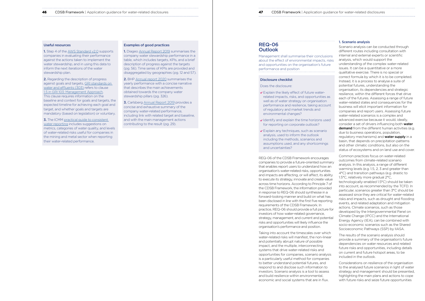# REQ-06 **Outlook**

Management shall summarise their conclusions about the effect of environmental impacts, risks and opportunities on the organisation's future performance and position

#### Disclosure checklist

#### Does the disclosure:

- ► Explain the likely effect of future waterrelated impacts, risks, and opportunities as well as of water strategy on organisation performance and resilience, taking account of regulatory and market trends and environmental changes?
- $\vee$  Identify and explain the time horizons used for reporting on corporate outlook?
- Explain any techniques, such as scenario analysis, used to inform the outlook including the methods, scenarios and assumptions used, and any shortcomings and uncertainties?

REQ-06 of the CDSB Framework encourages companies to provide a future-oriented summary that enables report users to understand how an organisation's water-related risks, opportunities and impacts are affecting, or will affect, its ability to execute its strategy, innovate and create value across time horizons. According to Principle 7 of the CDSB Framework, the information provided in response to REQ-06 should synthesise in a forward-looking manner and build on what has been disclosed in line with the first five reporting requirements of the CDSB Framework. In practice, REQ-06 should provide a full picture for investors of how water-related governance, strategy, management, and current and potential risks and opportunities will likely influence the organisation's performance and position.

Taking into account the timescales over which water-related risks will manifest, the non-linear and potentially abrupt nature of possible impact, and the multiple, interconnecting systems that drive water-related risks and opportunities for companies, scenario analysis is a particularly useful method for companies to better understand potential futures, and respond to and disclose such information to investors. Scenario analysis is a tool to assess and build resilience within environmental, economic and social systems that are in flux.

| n guidance for water-related disclosures |  |
|------------------------------------------|--|
|                                          |  |

## 1. Scenario analysis

1. Step 4 of the [AWS Standard v2.0](https://mk0a4wsorgk6akjsiboq.kinstacdn.com/wp-content/uploads/2019/03/AWS_Standard_2.0_2019_Final.pdf) supports companies in evaluating their performance against the actions taken to implement the water stewardship, and in using this data to inform the next iterations of the water stewardship plan.

**3.** The ICMM practical guide to consistent [water reporting](https://www.icmm.com/en-gb/guidance/environmental-stewardship/water-reporting) includes suggestions on metrics, categories of water quality, and levels of water-related risks useful for companies in the mining and metal sector when reporting their water-related performance.

Scenario analysis can be conducted through different routes including consultation with internal and external experts or scientific analysis, which would support the understanding of the complex water-related issues. It can be a quantitative or a more qualitative exercise. There is no special or correct formula by which it is to be completed. Instead, it is a process to analyse a suite of potential futures, understanding the organisation, its dependencies and strategic resilience, within the different forces that drive each of the futures. Assessing a range of future water-related states and consequences for the business will elicit important information for companies and report users. Assessing future water-related scenarios is a complex and advanced exercise because it would, ideally, consider a set of drivers influencing both water demand from the different human activities (e.g. due to business operations, population, regulatory mechanisms) and **water supply** in a basin, that depends on precipitation patterns and other climatic conditions, but also on the status of ecosystems and on land use and cover.

2. BHP [Annual report 2020](https://www.bhp.com/investor-centre/annual-report-2020/) summarises the yearly performance with a concise narrative that describes the main achievements obtained towards the company water stewardship pillars (pg. 326).

> Common practices focus on water-related outcomes from climate-related scenario analysis. In this analysis, a range of different warming levels (e.g. 1.5, 2, 3 and greater than 4°C) and transition pathways (e.g. drastic to 1.5°C, relatively more gradual 2°C, technologically-enabled 1.5°C) should be taken into account, as recommended by the TCFD. In

particular, scenarios greater than 3°C should be assessed since they are critical for water-related risks and impacts, such as drought and flooding events, and related adaptation and mitigation actions. Climate scenarios, such as those developed by the Intergovernmental Panel on Climate Change (IPCC) and the International Energy Agency (IEA), can be combined with socio-economic scenarios such as the Shared Socioeconomic Pathways (SSP) by IIASA.

The results of the scenario analysis should provide a summary of the organisation's future dependencies on water resources and related future risks and opportunities, including details on current and future hotspot areas, to be included in the outlook.

Considerations on resilience of the organisation to the analysed future scenarios in light of water strategy and management should be presented, highlighting the main plans and actions to cope with future risks and seize future opportunities

#### <span id="page-23-0"></span>**46** CDSB Framework | Application guidance for water-related disclosures **1988 1998 47** CDSB Framework | Application guidance for water-related disclosures **1998 1998 47 47 47 47 47**

#### Useful resources

2. Regarding the description of progress against goals and targets, [GRI standards on](https://www.globalreporting.org/how-to-use-the-gri-standards/resource-center/)  [water and effluents \(303\)](https://www.globalreporting.org/how-to-use-the-gri-standards/resource-center/) refers to clause [1.5 in GRI 103: Management Approach.](https://www.globalreporting.org/standards/media/1038/gri-103-management-approach-2016.pdf#page=9) This clause requires information on the baseline and context for goals and targets, the expected timeline for achieving each goal and target, and whether goals and targets are mandatory (based on legislation) or voluntary.

#### Examples of good practices

1. Diageo [Annual Report 2019](https://www.diageo.com/PR1346/aws/media/7948/b3801-000797_diageo_ar2019.pdf) summarises the company water stewardship performance in a table, which includes targets, KPIs, and a brief description of progress against the targets (pg. 56). Time series of KPIs are provided and disaggregated by geographies (pg. 12 and 57).

3. Carlsberg [Annual Report 2019](https://www.carlsberggroup.com/media/35966/carlsberg-as-annual-report-2019.pdf) provides a concise and exhaustive summary of the company water-related performance, including link with related target and baseline, and with the main management actions contributing to the result (pg. 29).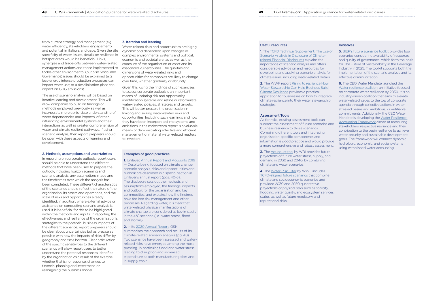## Useful resources

1. The [TCFD Technical Supplement: The Use of](https://assets.bbhub.io/company/sites/60/2020/10/FINAL-TCFD-Technical-Supplement-062917.pdf)  [Scenario Analysis in Disclosure of Climate](https://assets.bbhub.io/company/sites/60/2020/10/FINAL-TCFD-Technical-Supplement-062917.pdf)[related Financial Disclosures](https://assets.bbhub.io/company/sites/60/2020/10/FINAL-TCFD-Technical-Supplement-062917.pdf) explains the importance of scenario analysis and offers considerable advice on and resources for developing and applying scenario analysis for climate issues, including water-related details.

2. The WWF report Rising to resilience How [Water Stewardship Can Help Business Build](https://c402277.ssl.cf1.rackcdn.com/publications/1408/files/original/WWF_WaterStewardship_HR_rev.pdf?1605639677)  [Climate Resilience](https://c402277.ssl.cf1.rackcdn.com/publications/1408/files/original/WWF_WaterStewardship_HR_rev.pdf?1605639677) provides a practical application for businesses on how to integrate climate resilience into their water stewardship strategies.

3. The [Aqueduct tool](https://www.wri.org/research/aqueduct-water-stress-projections-decadal-projections-water-supply-and-demand-using-cmip5?downloaded=true) by WRI provides future projections of future water stress, supply, and demand in 2030 and 2040, by combining climate and water scenarios.

## Assessment Tools

As for risks, existing assessment tools can support the assessment of future scenarios and business resilience to those scenarios. Combining different tools and integrating organisation-specific components and information is good practice and would provide a more comprehensive and robust assessment.

4. The [Water Risk Filter](https://waterriskfilter.panda.org/) by WWF includes [TCFD-aligned future scenarios](https://wwfeu.awsassets.panda.org/downloads/wwf_wrf_brief_scenarios_hr.pdf) that combine climate and socioeconomic scenarios and provided 2030 and 2050 quantitative projections of physical risks such as scarcity, flooding, water quality, and ecosystem services status, as well as future regulatory and reputational risks.

## Initiatives

5. [BIER's future scenarios toolkit](http://www.bieroundtable.com/publication/biers-future-scenarios-toolkit/) provides four scenarios considering availability of resources and quality of governance, which form the basis for The Future of Sustainability in the Beverage Industry in 2025. The toolkit supports both the implementation of the scenario analysis and its effective communication.

6. The CEO Water Mandate launched the [Water resilience coalition,](https://ceowatermandate.org/resilience/) an initiative focused on corporate water resilience by 2050. It is an industry-driven coalition that aims to elevate water-related issues to the top of corporate agenda through collective actions in waterstressed basins and ambitious, quantifiable commitments. Additionally, the CEO Water Mandate is developing the [Water Resilience](https://ceowatermandate.org/waterprotocol/)  [Accounting Framework](https://ceowatermandate.org/waterprotocol/) aimed at measuring stakeholders' respective resilience and their contribution to the basin resilience to achieve water security and sustainable development goals. The framework will connect dynamic hydrologic, economic, and social systems using established water accounting.

**48** CDSB Framework | Application guidance for water-related disclosures **49 CDSB Framework | Application guidance for water-related disclosures** 

from current strategy and management (e.g. water efficiency, stakeholders' engagement) and potential limitations and gaps. Given the site specificity of water issues, details on resilience in hotspot areas would be beneficial. Links, synergies and trade-offs between water-related management actions and those implemented to tackle other environmental (but also Social and Governance) issues should be explained (e.g. less-energy intense production processes can impact water use; or a desalinisation plant can impact on GHG emissions).

The use of scenario analysis will be based on iterative learning and development. This will allow companies to build on findings or methods employed previously as well as incorporate more up-to-date understanding of water dependencies and impacts, of other influencing environmental systems and their interactions as well as greater comprehension of water and climate resilient pathways. If using scenario analysis, then report preparers should be open with these aspects of learning and development.

#### 2. Methods, assumptions and uncertainties

In reporting on corporate outlook, report users should be able to understand the different methods that have been used to prepare the outlook, including horizon scanning and scenario analysis, any assumptions made and the timeframes over which the analysis has been completed. These different characteristics of the scenarios should reflect the nature of the organisation, its assets and operations, and the scale of risks and opportunities already identified. In addition, where external advice or assistance on conducting scenario analysis is used, it is beneficial for this to be highlighted within the methods and inputs. In reporting the effectiveness and resilience of the organisation's strategies to the potential business impacts of the different scenarios, report preparers should be clear about uncertainties but as precise as possible with how the impacts of risks differ by geography and time horizon. Clear articulation of the specific sensitivities to the different scenarios will allow report users to better understand the potential responses identified by the organisation as a result of the exercise, whether that is no response, changes to financial planning and investment, or reimagining the business model.

#### 3. Iteration and learning

Water-related risks and opportunities are highly dynamic and dependent upon changes in complex environmental systems and political, economic and societal arenas as well as the exposure of the organisation or asset and its associated vulnerabilities. The qualities and dimensions of water-related risks and opportunities for companies are likely to change over time, whether gradually or abruptly.

Given this, using the findings of such exercises to assess corporate outlook is an important means of updating risk and opportunity identification systems and refine or reformulate water-related policies, strategies and targets. This will better prepare the organisation in limiting and seizing water-related risks and opportunities. Including such learnings and how they have been incorporated into systems and ambitions in the mainstream report is a valuable means of demonstrating effective and efficient management of material water-related matters to investors.

### Examples of good practices

1. Unilever, [Annual Report and Accounts 2019](https://www.unilever.com/Images/unilever-annual-report-and-accounts-2019_tcm244-547893_en.pdf) — Despite being focused on climate change, scenario analysis, risks and opportunities and outlook are described in a special section in Unilever's annual report (pgs. 40-3). The disclosure sets out the methods and assumptions employed, the findings, impacts and outlook for the organisation and key commodities, and explains how the findings have fed into risk management and other processes. Regarding water, it is clear that water-related physical manifestations of climate change are considered as key impacts in the 4°C scenario (i.e., water stress, flood and storms).

2. In its [2020 Annual Report,](https://www.gsk.com/media/6662/annual-report-2020.pdf) GSK summarises the approach and results of its climate-related scenario analysis (pg. 48). Two scenarios have been assessed and waterrelated risks have emerged among the most pressing. In particular, flood and water stress leading to disruption and increased expenditure at both manufacturing sites and in supply chain.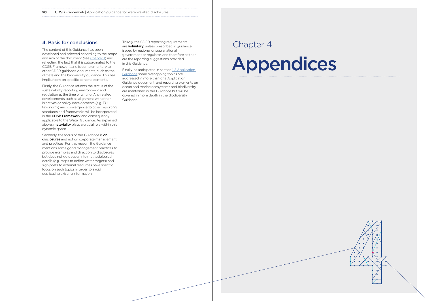# Appendices





<span id="page-25-0"></span>**50** CDSB Framework | Application guidance for water-related disclosures

The content of this Guidance has been developed and selected according to the scope and aim of the document (see [Chapter 1\)](#page-3-0) and reflecting the fact that it is subordinated to the CDSB Framework and is complementary to other CDSB guidance documents, such as the climate and the biodiversity guidance. This has implications on specific content elements.

Secondly, the focus of this Guidance is on disclosures and not on corporate management and practices. For this reason, the Guidance mentions some good management practices to provide examples and direction to disclosures but does not go deeper into methodological details (e.g. steps to define water targets) and sign posts to external resources have specific focus on such topics in order to avoid duplicating existing information.

Firstly, the Guidance reflects the status of the sustainability reporting environment and regulation at the time of writing. Any related developments such as alignment with other initiatives or policy developments (e.g. EU taxonomy) and convergence to other reporting standards and frameworks will be incorporated in the CDSB Framework and consequently applicable to the Water Guidance. As explained above, **materiality** plays a crucial role within this dynamic space.

**4. Basis for conclusions** Thirdly, the CDSB reporting requirements are **voluntary**, unless prescribed in guidance **Chapter 4** Thirdly, the CDSB reporting requirements are **voluntary**, unless prescribed in quidance issued by national or supranational government or regulator, and therefore neither are the reporting suggestions provided in this Guidance.

> Finally, as anticipated in section 1.2 Application [Guidance](#page-4-0) some overlapping topics are addressed in more than one Application Guidance document, and reporting elements on ocean and marine ecosystems and biodiversity are mentioned in this Guidance but will be covered in more depth in the Biodiversity Guidance.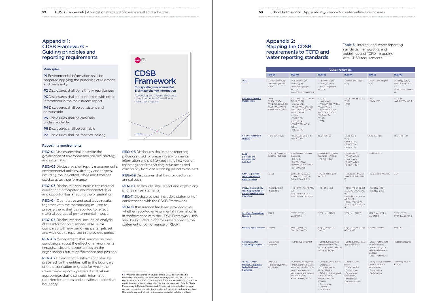**P1** Environmental information shall be prepared applying the principles of relevance and materiality

P2 Disclosures shall be faithfully represented

## <span id="page-26-0"></span>**52** CDSB Framework | Application guidance for water-related disclosures **53** CDSB Framework | Application guidance for water-related disclosures

# Appendix 1: CDSB Framework – Guiding principles and reporting requirements

## **Principles**

**P3** Disclosures shall be connected with other information in the mainstream report

**P4** Disclosures shall be consistent and comparable

**P5** Disclosures shall be clear and understandable

P6 Disclosures shall be verifiable

**P7** Disclosures shall be forward looking

REQ-04 Quantitative and qualitative results, together with the methodologies used to prepare them, shall be reported to reflect material sources of environmental impact

#### Reporting requirements

REQ-01 Disclosures shall describe the governance of environmental policies, strategy and information

REQ-02 Disclosures shall report management's environmental policies, strategy and targets, including the indicators, plans and timelines used to assess performance

REQ-03 Disclosures shall explain the material current and anticipated environmental risks and opportunities affecting the organisation

> REQ-12 If assurance has been provided over whether reported environmental information is in conformance with the CDSB Framework, this shall be included in or cross-referenced to the statement of conformance of REQ-11

REQ-05 Disclosures shall include an analysis of the information disclosed in REQ-04 compared with any performance targets set and with results reported in a previous period

## Table 3. International water reporting standards, frameworks, and guidelines and TCFD - mapping with CDSB requirements

REQ-06 Management shall summarise their conclusions about the effect of environmental impacts, risks and opportunities on the organisation's future performance and position

REQ-07 Environmental information shall be prepared for the entities within the boundary of the organisation or group for which the mainstream report is prepared and, where appropriate, shall distinguish information reported for entities and activities outside that boundary

REQ-08 Disclosures shall cite the reporting provisions used for preparing environmental information and shall (except in the first year of reporting) confirm that they have been used consistently from one reporting period to the next

REQ-09 Disclosures shall be provided on an annual basis

REQ-10 Disclosures shall report and explain any prior year restatements

REQ-11 Disclosures shall include a statement of conformance with the CDSB Framework



# Appendix 2: Mapping the CDSB requirements to TCFD and water reporting standards

t » Water is considered in several of the SASB sector-specific standards. Here only the Food and Beverage and the Oil & Gas are reported as examples. SASB accounts for water related impacts across multiple general issue categories (Water Management, Supply Chain Management, Material Sourcing & Efficiency). Interested parties can review the applicable industry standard(s) to identify relevant content that could support effective disclosure on water-related matters.

|                                                                                                    | <b>CDSB Framework</b>                                                                          |                                                                                                                                                                                                                                     |                                                                                                                                                                                                                       |                                                                                                                                                                 |                                                                                                                                           |                                                                                  |
|----------------------------------------------------------------------------------------------------|------------------------------------------------------------------------------------------------|-------------------------------------------------------------------------------------------------------------------------------------------------------------------------------------------------------------------------------------|-----------------------------------------------------------------------------------------------------------------------------------------------------------------------------------------------------------------------|-----------------------------------------------------------------------------------------------------------------------------------------------------------------|-------------------------------------------------------------------------------------------------------------------------------------------|----------------------------------------------------------------------------------|
|                                                                                                    | <b>REQ-01</b>                                                                                  | <b>REQ-02</b>                                                                                                                                                                                                                       | <b>REQ-03</b>                                                                                                                                                                                                         | <b>REQ-04</b>                                                                                                                                                   | <b>REQ-05</b>                                                                                                                             | <b>REQ-06</b>                                                                    |
| <b>TCFD</b>                                                                                        | - Governance (a, b)<br>- Risk Management<br>(a, b, c)                                          | - Governance (b)<br>- Strategy (b)<br>- Risk Management<br>(a, b, c)<br>- Metrics and Targets (a, c)                                                                                                                                | - Governance (b)<br>- Strategy (a, b c)<br>- Risk Management<br>(a, b, c)                                                                                                                                             | - Metrics and Targets<br>(a, b)                                                                                                                                 | - Metrics and Targets<br>(a, b)                                                                                                           | - Strategy (a, b, c)<br>- Risk Management<br>(c)<br>- Metrics and Targets<br>(a) |
| <b>CDP Water Security</b><br><b>Questionnaire</b>                                                  | $-W1.4$<br>-W3.3a; W3.3e;<br>-W6.2; W6.2a; W6.2b;<br>W6.2c; W6.3; W6.4;<br>W6.4a; W6.5; W6.5a; | - W1.1; W1.2; W1.2b; W1.4a;<br>W1.4c; W1.4d;<br>- module W.2;<br>- W3.3b; W3.3c; W3.3d;<br>- W4.2; W4.2a; W4.2b;<br>W4.2c; W4.3a;<br>$-W5.1a$<br>- W6.1: W6.1a:<br>$-W7.1; W7.4;$<br>- W8.1; W8.1a; W8.1b;<br>W8.1c:<br>- module W9 | - W1.2d;<br>- module W.2;<br>- W3.3a; W3.3b; W3.3c;<br>W3.3d; W3.3e;<br>- W4.1; W4.1a; W4.1b;<br>W4.1c: W4.2: W4.2a:<br>W4.3; W4.3a;<br>W4.3b;<br>$-W7.2$ ;                                                           | - W1.2b; W1.2d; W1.2h;<br>W1.2i;<br>$-W5.1$                                                                                                                     | $-W5.1$ ;<br>-W8.1a; W8.1b                                                                                                                | - W.4.3a;<br>-W7.3; W7.3a; W7.3b                                                 |
| GRI 303 - water and<br>effluents                                                                   | - REQ. 303-1 (c, d)                                                                            | - REQ. 303-1 (a, b, c, d)<br>$-$ REQ. 303-2                                                                                                                                                                                         | REQ. 303-1(a)                                                                                                                                                                                                         | $-$ REQ. 303-1<br>(a, b)<br>$-$ REQ. 303-3<br>$-$ REQ. 303-4<br>- REQ. 303-5                                                                                    | REQ. 303-1(a)                                                                                                                             | REQ. 303-1(b)                                                                    |
| SASB <sup>t</sup><br>(FB: Food and<br>Beverage; EM:<br>Oil & Gas)                                  | - Standard Application<br>Guidance - 5.0 (a, c)                                                | - Standard Application<br>Guidance<br>$-5.0$ (b.d)<br>- FB-AG-140a.2<br>- Note to EM-EP-140a.4<br>- EM-EP-160a.1                                                                                                                    | <b>Standard Application</b><br>Guidance - 5.0 (b, d)<br>- FB-AG-140a.2                                                                                                                                                | - FB-AG-140a.1<br>- FB-AG-140a.3<br>- EM-EP-140a.2<br>- EM-EP-140a.3<br>- EM-EP-140a.4                                                                          | FB-AG-140a.2                                                                                                                              |                                                                                  |
| <b>ICMM - A practical</b><br>guide to consistent<br>water reporting                                | $-2.2.6c$                                                                                      | 2.2.6b; 2.1; 2.2.1; 2.2.2;<br>2.2.6b; 2.2.6c; Figure 1;<br>Table 6; Table 7; 3.2.1                                                                                                                                                  | - 2.2.6c; Table 7; 3.2.1;<br>Annex B                                                                                                                                                                                  | $-1.1.3$ ; 2.2.3; 2.2.4; 2.2.5;<br>Table 3; Table 4; Table<br>10 <sup>°</sup>                                                                                   | - 2.2.1; Table 9; Annex C                                                                                                                 | 3.2.1                                                                            |
| <b>IPIECA - Sustainability</b><br>reporting guidance for<br>the oil and gas industry<br>(Module 4) | $-4.5$   ENV-6: C4<br>$-3.6$ CCE-1                                                             | $-4.5$   ENV-1: A6, A7, A10,<br>A11;<br>$-4.5$   ENV-2: A2, A3;<br>$-4.5$   ENV-6: C1, C3, C4                                                                                                                                       | $-4.5$   ENV-1: C3                                                                                                                                                                                                    | - 4.5 ENV-1: C1, C2, C4,<br>A1, A2, A3, A4, A5, A8,<br>A9;<br>- 4.5 ENV-2: C1, C2, A1,<br>A5, A6, A7;<br>$-4.5$ ENV-6: C2, A1,<br>A2, A3, A4, A5, A6, A7,<br>A8 | $-4.5$   ENV-1: C5;<br>$-4.5$   ENV-2: A4                                                                                                 |                                                                                  |
| Int. Water Stewardship<br><b>Standard</b>                                                          | STEP <sub>2</sub>                                                                              | STEP 1. STEP 2.<br>and STEP 3                                                                                                                                                                                                       | STEP 1 and STEP 2                                                                                                                                                                                                     | STEP 1 and STEP 5                                                                                                                                               | STEP 3 and STEP 4<br>and STEP 5                                                                                                           | STEP 1. STEP 2.<br>STEP 4 and STEP 5                                             |
| <b>Natural Capital Protocol</b>                                                                    | Step 02                                                                                        | Step 02; Step 03;<br>Step 04; Step 09                                                                                                                                                                                               | Step 03; Step 04;<br>Step 07                                                                                                                                                                                          | Step 04; Step 05; Step<br>06; Step 07                                                                                                                           | Step 06; Step 08                                                                                                                          | Step 08                                                                          |
| <b>Australian Water</b><br><b>Accounting Standard 1</b>                                            | - Contextual<br>statement                                                                      | - Contextual statement                                                                                                                                                                                                              | - Contextual statement<br>-Statement of Water<br>Assets & Water Liabilities;<br>-Note Disclosures                                                                                                                     | - Contextual statement<br>-Note Disclosures                                                                                                                     | - Stat. of water assets<br>& water liabilities;<br>- Stat. of changes in<br>water assets & water<br>liabilities;<br>- Stat. of water fows | - Note Disclosures                                                               |
| The CEO Water<br><b>Mandate - Corporate</b><br><b>Water Disclosure</b><br><b>Guidelines</b>        | Response<br>- Policies, governance,<br>and targets                                             | - Company water profile<br>- Interactions with water;<br>commitment & response<br>- Response: Policies,<br>governance, and targets;<br>Internal actions;<br>External engagement                                                     | - Company water profile<br>- Challenges<br>and opportunities;<br>Hotspot basins;<br>- Defining what to report<br>- Business risks,<br>opportunities, and<br>impacts<br>- Current state<br>- Context<br>- Implications | - Company water<br>profile<br>- Profile metrics<br>- Current state<br>- Performance;<br>Compliance<br>- Implications<br>- External impacts                      | - Company water profile<br>- Metrics on water<br>performance<br>- Current state<br>- Performance                                          | - Defining what to<br>report                                                     |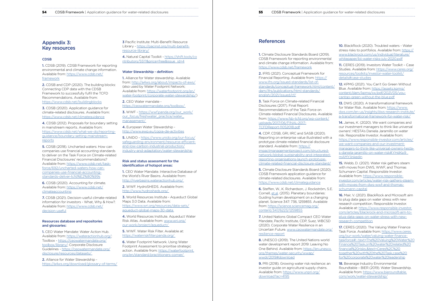#### **54** CDSB Framework | Application guidance for water-related disclosures **55** CDSB Framework | Application guidance for water-related disclosures

# Appendix 3: Key resources

## CDSB

1. CDSB (2019). CDSB Framework for reporting environmental and climate change information. Available from: [https://www.cdsb.net/](https://www.cdsb.net/framework) [framework](https://www.cdsb.net/framework)

2. CDSB and CDP (2020). The building blocks: Connecting CDP data with the CDSB Framework to successfully fulfil the TCFD Recommendations. Available from: <https://www.cdsb.net/buildingblocks>

3. CDSB (2020). Application guidance for climate-related disclosures. Available from: <https://www.cdsb.net/climateguidance>

### Resources database and repositories and glossaries:

4. CDSB (2012). Proposals for boundary setting in mainstream reports. Available from: [https://www.cdsb.net/what-we-do/reporting](https://www.cdsb.net/what-we-do/reporting-guidance/boundary-setting-mainstream-reports)[guidance/boundary-setting-mainstream](https://www.cdsb.net/what-we-do/reporting-guidance/boundary-setting-mainstream-reports)[reports](https://www.cdsb.net/what-we-do/reporting-guidance/boundary-setting-mainstream-reports)

5. CDSB (2018). Uncharted waters: How can companies use financial accounting standards to deliver on the Task Force on Climate-related Financial Disclosures' recommendations? Available from: [https://www.cdsb.net/task](https://www.cdsb.net/task-force/692/uncharted-waters-how-can-companies-use-financial-accounting-standards-deliver-tcfd%E2%80%99s)[force/692/uncharted-waters-how-can](https://www.cdsb.net/task-force/692/uncharted-waters-how-can-companies-use-financial-accounting-standards-deliver-tcfd%E2%80%99s)[companies-use-financial-accounting](https://www.cdsb.net/task-force/692/uncharted-waters-how-can-companies-use-financial-accounting-standards-deliver-tcfd%E2%80%99s)[standards-deliver-tcfd%E2%80%99s](https://www.cdsb.net/task-force/692/uncharted-waters-how-can-companies-use-financial-accounting-standards-deliver-tcfd%E2%80%99s)

**1.** Alliance for Water stewardship. Available from: [http://a4ws.org/about/impacts-of-aws/](https://a4ws.org/about/progress-and-learnings/) (also used by Water Footprint Network; Available from: [https://waterfootprint.org/en/](https://waterfootprint.org/en/water-footprint/corporate-water-stewardship/) [water-footprint/corporate-water-stewardship/](https://waterfootprint.org/en/water-footprint/corporate-water-stewardship/))

3. WWF - [https://wwf.panda.org/our\\_work/](https://wwf.panda.org/discover/our_focus/freshwater_practice/water_management/?) our\_focus/freshwater\_practice/water [management/](https://wwf.panda.org/discover/our_focus/freshwater_practice/water_management/?) 

6. CDSB (2020). Accounting for climate. Available from: [https://www.cdsb.net/](https://www.cdsb.net/climateaccounting) [climateaccounting](https://www.cdsb.net/climateaccounting)

7. CDSB (2021). Decision-useful climate-related information for investors - What, Why & How?. Available from: [https://www.cdsb.net/](https://www.cdsb.net/decision-useful) [decision-useful](https://www.cdsb.net/decision-useful)

1. CEO Water Mandate: Water Action Hub. Available from: [https://wateractionhub.org/;](https://wateractionhub.org/) Toolbox - [https://ceowatermandate.org/](https://ceowatermandate.org/toolbox/library/) [toolbox/library/;](https://ceowatermandate.org/toolbox/library/) Corporate Disclosure Guidelines - [https://ceowatermandate.org/](https://ceowatermandate.org/disclosure/resources/datasets/) [disclosure/resources/datasets/](https://ceowatermandate.org/disclosure/resources/datasets/) 

**6.** Water Footprint Network. Using Water Footprint Assessment to prioritise strategic action. Available from: [https://waterfootprint.](https://waterfootprint.org/en/standard/practitioners-corner/) [org/en/standard/practitioners-corner/](https://waterfootprint.org/en/standard/practitioners-corner/) 

## **References**

2. Alliance for Water Stewardship <https://a4ws.org/download/glossary-of-terms/> 3 Pacific Institute: Multi-Benefit Resource Library - [https://pacinst.org/multi-benefit](https://pacinst.org/multi-benefit-resource-library/)[resource-library/](https://pacinst.org/multi-benefit-resource-library/)

4. Natural Capital Toolkit - [https://shift.tools/co](https://shift.tools/contributors/551?&price=free&issue_id=4) [ntributors/551?&price=free&issue\\_id=4](https://shift.tools/contributors/551?&price=free&issue_id=4)

## Water Stewardship - definition:

**3.** Task Force on Climate-related Financial Disclosures (2017). Final Report: Recommendations of the Task Force on Climate-related Financial Disclosures. Available from: [https://www.fsb-tcfd.org/wp-content/](https://www.fsb-tcfd.org/wp-content/uploads/2017/06/FINAL-2017-TCFDReport-11052018.pdf) [uploads/2017/06/FINAL-2017-](https://www.fsb-tcfd.org/wp-content/uploads/2017/06/FINAL-2017-TCFDReport-11052018.pdf) [TCFDReport-11052018.pdf](https://www.fsb-tcfd.org/wp-content/uploads/2017/06/FINAL-2017-TCFDReport-11052018.pdf)

2. CEO Water mandate <https://ceowatermandate.org/toolbox/>

4. European Water Stewardship <http://www.ewp.eu/copia-de-activities>

5. UNIDO - [https://www.unido.org/our-focus/](https://www.unido.org/our-focus/safeguarding-environment/resource-efficient-and-low-carbon-industrial-production/industry-and-adaptation/water-stewardship) [safeguarding-environment/resource-efficient](https://www.unido.org/our-focus/safeguarding-environment/resource-efficient-and-low-carbon-industrial-production/industry-and-adaptation/water-stewardship)[and-low-carbon-industrial-production/](https://www.unido.org/our-focus/safeguarding-environment/resource-efficient-and-low-carbon-industrial-production/industry-and-adaptation/water-stewardship) [industry-and-adaptation/water-stewardship](https://www.unido.org/our-focus/safeguarding-environment/resource-efficient-and-low-carbon-industrial-production/industry-and-adaptation/water-stewardship)

#### Risk and status assessment for the identification of hotspot areas:

1. CEO Water Mandate. Interactive Database of the World's River Basins. Available from: <http://riverbasins.wateractionhub.org/>

2. WWF. HydroSHEDS. Available from: [http://www.hydrosheds.org/](https://www.hydrosheds.org/) 

3. World Resources Institute - Aqueduct Global Maps 3.0 Data. Available from: [https://www.wri.org/resources/data-sets/](https://www.wri.org/resources/data-sets/aqueduct-global-maps-30-data) [aqueduct-global-maps-30-data](https://www.wri.org/resources/data-sets/aqueduct-global-maps-30-data) 

4. World Resources Institute. Aqueduct Water Risk Atlas. Available from: [www.wri.org/](https://www.wri.org/aqueduct) [our-work/project/aqueduct/](https://www.wri.org/aqueduct) 

5. WWF. Water Risk Filter. Available at: <https://waterriskfilter.panda.org/>

16. Mair, V. (2021). BlackRock and Microsoft aim to plug data gaps on water stress with new research competition. Responsible Investor. Available at: [https://www.responsible-investor.](https://www.responsible-investor.com/articles/blackrock-and-microsoft-aim-to-plug-data-gaps-on-water-stress-with-new-research-competition) [com/articles/blackrock-and-microsoft-aim-to](https://www.responsible-investor.com/articles/blackrock-and-microsoft-aim-to-plug-data-gaps-on-water-stress-with-new-research-competition)[plug-data-gaps-on-water-stress-with-new](https://www.responsible-investor.com/articles/blackrock-and-microsoft-aim-to-plug-data-gaps-on-water-stress-with-new-research-competition)[research-competition](https://www.responsible-investor.com/articles/blackrock-and-microsoft-aim-to-plug-data-gaps-on-water-stress-with-new-research-competition)

1. Climate Disclosure Standards Board (2019). CDSB Framework for reporting environmental and climate change information. Available from: <https://www.cdsb.net/framework>

> 17. CERES (2020). The Valuing Water Finance Task Force. Available from: [https://www.ceres.](https://www.ceres.org/our-work/water/valuing-water-finance-task-force) [org/our-work/water/valuing-water-finance](https://www.ceres.org/our-work/water/valuing-water-finance-task-force)[taskforce#:~:text=The%20Valuing%20Water%20](https://www.ceres.org/our-work/water/valuing-water-finance-task-force) [Finance%20Task,on%20water%2Drelated%20](https://www.ceres.org/our-work/water/valuing-water-finance-task-force) [financial%20risks.&text=Ceres%2C%20](https://www.ceres.org/our-work/water/valuing-water-finance-task-force) [together%20with%20the%20Task,case%20](https://www.ceres.org/our-work/water/valuing-water-finance-task-force) [for%20corporate%20water%20leadership](https://www.ceres.org/our-work/water/valuing-water-finance-task-force)

2. IFRS (2021). Conceptual Framework for Financial Reporting. Available from: [https://](https://www.ifrs.org/issued-standards/list-of-standards/conceptual-framework.html/content/dam/ifrs/publications/html-standards/english/2021/issued/cf/) [www.ifrs.org/issued-standards/list-of](https://www.ifrs.org/issued-standards/list-of-standards/conceptual-framework.html/content/dam/ifrs/publications/html-standards/english/2021/issued/cf/)[standards/conceptual-framework.html/content/](https://www.ifrs.org/issued-standards/list-of-standards/conceptual-framework.html/content/dam/ifrs/publications/html-standards/english/2021/issued/cf/) [dam/ifrs/publications/html-standards/](https://www.ifrs.org/issued-standards/list-of-standards/conceptual-framework.html/content/dam/ifrs/publications/html-standards/english/2021/issued/cf/) [english/2021/issued/cf/](https://www.ifrs.org/issued-standards/list-of-standards/conceptual-framework.html/content/dam/ifrs/publications/html-standards/english/2021/issued/cf/)

> 18. Beverage Industry Environmental Roundtable – BIER (2019). Water Stewardship. Available from: [https://www.bieroundtable.](https://www.bieroundtable.com/work/water-stewardship/) [com/work/water-stewardship/](https://www.bieroundtable.com/work/water-stewardship/)

4. CDP, CDSB, GRI, IIRC and SASB (2020). Reporting on enterprise value illustrated with a prototype climate-related financial disclosure standard. Available from: [https://](https://impactmanagementproject.com/structured-network/global-sustainability-and-integrated-reporting-organisations-launch-prototype-climate-related-financial-disclosure-standard/) [impactmanagementproject.com/structured](https://impactmanagementproject.com/structured-network/global-sustainability-and-integrated-reporting-organisations-launch-prototype-climate-related-financial-disclosure-standard/)[network/global-sustainability-and-integrated](https://impactmanagementproject.com/structured-network/global-sustainability-and-integrated-reporting-organisations-launch-prototype-climate-related-financial-disclosure-standard/)[reporting-organisations-launch-prototype](https://impactmanagementproject.com/structured-network/global-sustainability-and-integrated-reporting-organisations-launch-prototype-climate-related-financial-disclosure-standard/)[climate-related-financial-disclosure-standard/](https://impactmanagementproject.com/structured-network/global-sustainability-and-integrated-reporting-organisations-launch-prototype-climate-related-financial-disclosure-standard/)

5. Climate Disclosure Standards Board (2020). CDSB Framework application guidance for climate-related disclosures. Available from: <https://www.cdsb.net/climateguidance>

6. Steffen, W., K. Richardson, J. Rockström, S.E. Cornell, [et.al.](http://et.al) (2015). Planetary boundaries: Guiding human development on a changing planet. Science 347: 736, 1259855. Available from: [https://science.sciencemag.org/](https://science.sciencemag.org/content/347/6223/1259855) [content/347/6223/1259855](https://science.sciencemag.org/content/347/6223/1259855)

7. United Nations Global Compact CEO Water Mandate, Pacific Institute, CDP, Suez, WBCSD (2020). Corporate Water Resilience in an Uncertain Future. [www.ceowatermandate.org/](http://www.ceowatermandate.org/resilience-report) [resilience-report](http://www.ceowatermandate.org/resilience-report)

8. UNESCO (2019). The United Nations world water development report 2019: Leaving No One Behind. Available from: [https://en.unesco.](https://en.unesco.org/themes/water-security/wwap/wwdr/2019#download) [org/themes/water-security/wwap/](https://en.unesco.org/themes/water-security/wwap/wwdr/2019#download) [wwdr/2019#download](https://en.unesco.org/themes/water-security/wwap/wwdr/2019#download)

9. PRI (2018). Growing water risk resilience: an investor guide on agricultural supply chains. Available from: [https://www.unpri.org/](https://www.unpri.org/download?ac=4195) [download?ac=4195](https://www.unpri.org/download?ac=4195)

<span id="page-27-0"></span>

10. BlackRock (2020). Troubled waters - Water stress risks to portfolios. Available from: [https://](https://www.blackrock.com/us/individual/literature/whitepaper/bii-water-risks-july-2020.pdf) [www.blackrock.com/us/individual/literature/](https://www.blackrock.com/us/individual/literature/whitepaper/bii-water-risks-july-2020.pdf) [whitepaper/bii-water-risks-july-2020.pdf](https://www.blackrock.com/us/individual/literature/whitepaper/bii-water-risks-july-2020.pdf)

11. CERES (2019). Investors Water Toolkit – Case Studies. Available from: [https://www.ceres.org/](https://www.ceres.org/resources/toolkits/investor-water-toolkit/details#case-studies) [resources/toolkits/investor-water-toolkit/](https://www.ceres.org/resources/toolkits/investor-water-toolkit/details#case-studies) [details#case-studies](https://www.ceres.org/resources/toolkits/investor-water-toolkit/details#case-studies)

12. KPMG (2021). You Can't Go Green Without Blue. Available from: [https://assets.kpmg/](https://assets.kpmg/content/dam/kpmg/xx/pdf/2021/05/you-cantgo-green-without-the-blue.pdf) [content/dam/kpmg/xx/pdf/2021/05/you](https://assets.kpmg/content/dam/kpmg/xx/pdf/2021/05/you-cantgo-green-without-the-blue.pdf)[cantgo-green-without-the-blue.pdf](https://assets.kpmg/content/dam/kpmg/xx/pdf/2021/05/you-cantgo-green-without-the-blue.pdf)

13. DWS (2020). A transformational framework for Water Risk. Available from: [https://www.](https://www.dws.com/en-us/insights/dws-research-institute/a-transformational-framework-for-water-risk/) [dws.com/en-us/insights/dws-research-institute/](https://www.dws.com/en-us/insights/dws-research-institute/a-transformational-framework-for-water-risk/) [a-transformational-framework-for-water-risk/](https://www.dws.com/en-us/insights/dws-research-institute/a-transformational-framework-for-water-risk/)

14. James, K. (2020). We want companies and our investment managers to think like universal owners': HESTA's Daniela Jaramillo on water risk. Responsible Investor. Available from: [https://www.responsible-investor.com/articles/](https://www.responsible-investor.com/articles/we-want-companies-and-our-investment-managers-to-think-like-universal-owners-hesta-s-daniela-jaramillo-on-water-risk#.YHdKp9_mAMY.linkedin) [we-want-companies-and-our-investment](https://www.responsible-investor.com/articles/we-want-companies-and-our-investment-managers-to-think-like-universal-owners-hesta-s-daniela-jaramillo-on-water-risk#.YHdKp9_mAMY.linkedin)[managers-to-think-like-universal-owners-hesta](https://www.responsible-investor.com/articles/we-want-companies-and-our-investment-managers-to-think-like-universal-owners-hesta-s-daniela-jaramillo-on-water-risk#.YHdKp9_mAMY.linkedin)[s-daniela-jaramillo-on-water-risk#.YHdKp9\\_](https://www.responsible-investor.com/articles/we-want-companies-and-our-investment-managers-to-think-like-universal-owners-hesta-s-daniela-jaramillo-on-water-risk#.YHdKp9_mAMY.linkedin) [mAMY.linkedin](https://www.responsible-investor.com/articles/we-want-companies-and-our-investment-managers-to-think-like-universal-owners-hesta-s-daniela-jaramillo-on-water-risk#.YHdKp9_mAMY.linkedin)

15. Webb, D. (2021). Water risk gathers steam with moves from DWS, WWF, and Thomas Schumann Capital. Responsible Investor. Available from: [https://www.responsible](https://www.responsible-investor.com/articles/water-risk-gathers-steam-with-moves-from-dws-wwf-and-thomas-schumann-capital)[investor.com/articles/water-risk-gathers-steam](https://www.responsible-investor.com/articles/water-risk-gathers-steam-with-moves-from-dws-wwf-and-thomas-schumann-capital)[with-moves-from-dws-wwf-and-thomas](https://www.responsible-investor.com/articles/water-risk-gathers-steam-with-moves-from-dws-wwf-and-thomas-schumann-capital)[schumann-capital](https://www.responsible-investor.com/articles/water-risk-gathers-steam-with-moves-from-dws-wwf-and-thomas-schumann-capital)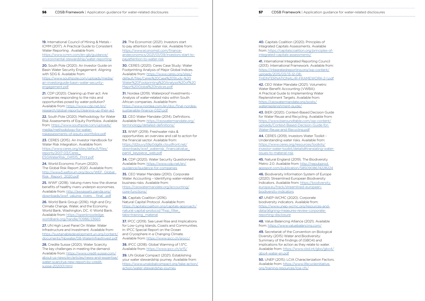**56** CDSB Framework | Application guidance for water-related disclosures **57** CDSB Framework | Application guidance for water-related disclosures

19. International Council of Mining & Metals - ICMM (2017). A Practical Guide to Consistent Water Reporting . Available from: [https://www.icmm.com/en-gb/guidance/](https://www.icmm.com/en-gb/guidance/environmental-stewardship/water-reporting) [environmental-stewardship/water-reporting](https://www.icmm.com/en-gb/guidance/environmental-stewardship/water-reporting)

21. CDP (2020). Cleaning up their act: Are companies responding to the risks and opportunities posed by water pollution? Available from: [https://www.cdp.net/en/](https://www.cdp.net/en/research/global-reports/cleaning-up-their-act) [research/global-reports/cleaning-up-their-act](https://www.cdp.net/en/research/global-reports/cleaning-up-their-act)

20. South Pole (2020). An Investor Guide on Basin Water Security Engagement: Aligning with SDG 6. Available from: [https://www.southpole.com/uploads/media/](https://www.southpole.com/publications/an-investor-guide-on-basin-water-security-engagement) [an-investorguide-basin-water-security](https://www.southpole.com/publications/an-investor-guide-on-basin-water-security-engagement)[engagement.pdf](https://www.southpole.com/publications/an-investor-guide-on-basin-water-security-engagement)

22. South Pole (2020). Methodology for Water Risk Assessments of Equity Portfolios. Available from: [https://www.southpole.com/uploads/](https://www.southpole.com/uploads/media/methodology-for-water-risk-assessments-of-equity-portfolios.pdf) [media/methodology-for-water](https://www.southpole.com/uploads/media/methodology-for-water-risk-assessments-of-equity-portfolios.pdf)[riskassessments-of-equity-portfolios.pdf](https://www.southpole.com/uploads/media/methodology-for-water-risk-assessments-of-equity-portfolios.pdf)

23. CERES (2015). An Investor Handbook for Water Risk Integration. Available from: [https://www.ceres.org/sites/default/files/](https://www.ceres.org/resources/reports/investor-handbook-water-integration) [reports/2017-03/Ceres\\_](https://www.ceres.org/resources/reports/investor-handbook-water-integration) [ESGWaterRisk\\_041515\\_Print.pdf](https://www.ceres.org/resources/reports/investor-handbook-water-integration)

25. WWF (2018). Valuing rivers how the diverse benefits of healthy rivers underpin economies. Available from: [http://awsassets.panda.org/](http://awsassets.panda.org/downloads/wwf_valuing_rivers__final_.pdf) downloads/wwf\_valuing\_rivers \_\_final\_.pdf

27. UN High Level Panel On Water. Water Infrastructure and Investment. Available from: [https://sustainabledevelopment.un.org/content/](https://sustainabledevelopment.un.org/content/documents/hlpwater/08-WaterInfrastInvest.pdf) [documents/hlpwater/08-WaterInfrastInvest.pdf](https://sustainabledevelopment.un.org/content/documents/hlpwater/08-WaterInfrastInvest.pdf)

29. The Economist (2021). Investors start to pay attention to water risk. Available from: [https://www.economist.com/finance](https://www.economist.com/finance-andeconomics/2021/01/09/investors-start-to-payattention-to-water-risk)[andeconomics/2021/01/09/investors-start-to](https://www.economist.com/finance-andeconomics/2021/01/09/investors-start-to-payattention-to-water-risk)[payattention-to-water-risk](https://www.economist.com/finance-andeconomics/2021/01/09/investors-start-to-payattention-to-water-risk)

24. World Economic Forum (2020). The Global Risk Report 2020. Available from: [http://www3.weforum.org/docs/WEF\\_Global\\_](http://www3.weforum.org/docs/WEF_Global_Risk_Report_2020.pdf) [Risk\\_Report\\_2020.pdf](http://www3.weforum.org/docs/WEF_Global_Risk_Report_2020.pdf)

32. CEO Water Mandate (2014). Definitions. Available from: [https://ceowatermandate.org/](https://ceowatermandate.org/terminology/detailed-definitions/) [terminology/detailed-definitions/](https://ceowatermandate.org/terminology/detailed-definitions/)

26. World Bank Group (2016). High and Dry: Climate Change, Water, and the Economy. World Bank, Washington, DC. © World Bank. Available from: [https://openknowledge.](https://openknowledge.worldbank.org/handle/10986/23665) [worldbank.org/handle/10986/23665](https://openknowledge.worldbank.org/handle/10986/23665)

36. Capitals Coalition (2016). Natural Capital Protocol. Available from: [https://capitalscoalition.org/capitals-approach/](https://capitalscoalition.org/capitals-approach/natural-capital-protocol/?fwp_filter_tabs=training_material) [natural-capital-protocol/?fwp\\_filter\\_](https://capitalscoalition.org/capitals-approach/natural-capital-protocol/?fwp_filter_tabs=training_material) [tabs=training\\_material](https://capitalscoalition.org/capitals-approach/natural-capital-protocol/?fwp_filter_tabs=training_material)

28. Credite Suisse (2020). Water Scarcity. The key challenges in meeting the demand. Available from: [https://www.credit-suisse.com/](https://www.credit-suisse.com/about-us-news/en/articles/news-and-expertise/water-scarcitya-new-report-by-credit-suisse-202001.html) [about-us-news/en/articles/news-and-expertise/](https://www.credit-suisse.com/about-us-news/en/articles/news-and-expertise/water-scarcitya-new-report-by-credit-suisse-202001.html) [water-scarcitya-new-report-by-credit](https://www.credit-suisse.com/about-us-news/en/articles/news-and-expertise/water-scarcitya-new-report-by-credit-suisse-202001.html)[suisse-202001.html](https://www.credit-suisse.com/about-us-news/en/articles/news-and-expertise/water-scarcitya-new-report-by-credit-suisse-202001.html)

30. CERES (2020). Ceres Case Study: Water Footprinting Analysis of Major Global Indices. Available from: [https://www.ceres.org/sites/](https://www.ceres.org/sites/default/files/Ceres%20Case%20Study-%20Water%20Footprinting%20Analysis%20of%20Major%20Global%20Indices.pdf) [default/files/Ceres%20Case%20Study-%20](https://www.ceres.org/sites/default/files/Ceres%20Case%20Study-%20Water%20Footprinting%20Analysis%20of%20Major%20Global%20Indices.pdf) [Water%20Footprinting%20Analysis%20of%20](https://www.ceres.org/sites/default/files/Ceres%20Case%20Study-%20Water%20Footprinting%20Analysis%20of%20Major%20Global%20Indices.pdf) [Major%20Global%20Indices.pdf](https://www.ceres.org/sites/default/files/Ceres%20Case%20Study-%20Water%20Footprinting%20Analysis%20of%20Major%20Global%20Indices.pdf)

31. Nordea (2019). Waterproof Investments - Analysis of water-related risks within South African companies. Available from: [https://www.nordea.com/en/doc/final-nordea](https://www.nordea.com/en/doc/final-nordea-sustianable-finance-0321.pdf)[sustianable-finance-0321.pdf](https://www.nordea.com/en/doc/final-nordea-sustianable-finance-0321.pdf)

33. WWF (2019). Freshwater risks & opportunities: an overview and call to action for the financial sector. Available from: [https://d2ouvy59p0dg6k.cloudfront.net/](https://d2ouvy59p0dg6k.cloudfront.net/downloads/wwf_waterrisk_financialvalue_part4_keypiece_web.pdf) [downloads/wwf\\_waterrisk\\_financialvalue\\_](https://d2ouvy59p0dg6k.cloudfront.net/downloads/wwf_waterrisk_financialvalue_part4_keypiece_web.pdf) [part4\\_keypiece\\_web.pdf](https://d2ouvy59p0dg6k.cloudfront.net/downloads/wwf_waterrisk_financialvalue_part4_keypiece_web.pdf)

34. CDP (2020). Water Security Questionnaire. Available from: [https://www.cdp.net/en/](https://www.cdp.net/en/guidance/guidance-for-companies) [guidance/guidance-for-companies](https://www.cdp.net/en/guidance/guidance-for-companies)

35. CEO Water Mandate (2010). Corporate Water Accounting – Identifying water-related business risks. Available from: [https://ceowatermandate.org/accounting/](https://ceowatermandate.org/accounting/core-functions/) [core-functions/](https://ceowatermandate.org/accounting/core-functions/)

37. IPCC (2019). Sea Level Rise and Implications for Low-Lying Islands, Coasts and Communities. In: IPCC Special Report on the Ocean and Cryosphere in a Changing Climate. Available from:<https://www.ipcc.ch/srocc/>

38. IPCC (2018): Global Warming of 1.5°C. Available from:<https://www.ipcc.ch/sr15/>

39. UN Global Compact (2021). Establishing your water stewardship journey. Available from: [https://www.unglobalcompact.org/take-action/](https://www.unglobalcompact.org/take-action/action/water-stewardship-journey) [action/water-stewardship-journey](https://www.unglobalcompact.org/take-action/action/water-stewardship-journey)

40. Capitals Coalition (2020). Principles of Integrated Capitals Assessments. Available from: [https://capitalscoalition.org/principles-of](https://capitalscoalition.org/principles-of-integrated-capitals-assessments/)[integrated-capitals-assessments/](https://capitalscoalition.org/principles-of-integrated-capitals-assessments/)

41. International Integrated Reporting Council (2013). International Framework. Available from: [https://integratedreporting.org/wp-content/](https://integratedreporting.org/wp-content/uploads/2015/03/13-12-08-THEINTERNATIONAL-IR-FRAMEWORK-2-1.pdf) [uploads/2015/03/13-12-08-](https://integratedreporting.org/wp-content/uploads/2015/03/13-12-08-THEINTERNATIONAL-IR-FRAMEWORK-2-1.pdf) [THEINTERNATIONAL-IR-FRAMEWORK-2-1.pdf](https://integratedreporting.org/wp-content/uploads/2015/03/13-12-08-THEINTERNATIONAL-IR-FRAMEWORK-2-1.pdf)

42. CEO Water Mandate (2021). Volumetric Water Benefit Accounting (VWBA): A Practical Guide to Implementing Water Replenishment Targets. Available from: [https://ceowatermandate.org/posts/](https://ceowatermandate.org/posts/waterreplenishment-guide/) [waterreplenishment-guide/](https://ceowatermandate.org/posts/waterreplenishment-guide/)

43. BIER (2020). Context-Based Decision Guide for Water Reuse and Recycling. Available from: [https://www.bieroundtable.com/wp-content/](https://www.bieroundtable.com/wp-content/uploads/Context-Based-Decision-Guide-for-Water-Reuse-and-Recycling.pdf) [uploads/Context-Based-Decision-Guide-for-](https://www.bieroundtable.com/wp-content/uploads/Context-Based-Decision-Guide-for-Water-Reuse-and-Recycling.pdf)[Water-Reuse-and-Recycling.pdf](https://www.bieroundtable.com/wp-content/uploads/Context-Based-Decision-Guide-for-Water-Reuse-and-Recycling.pdf)

44. CERES (2019). Investors Water Toolkit - Understanding water risks. Available from: [https://www.ceres.org/resources/toolkits/](https://www.ceres.org/resources/toolkits/investor-water-toolkit/details#translating-water-issues-to-material-risk) [investor-water-toolkit/details#translating-water](https://www.ceres.org/resources/toolkits/investor-water-toolkit/details#translating-water-issues-to-material-risk)[issues-to-material-risk](https://www.ceres.org/resources/toolkits/investor-water-toolkit/details#translating-water-issues-to-material-risk)

45. Natural England (2019). The Biodiversity Metric 2.0. Available from: [http://nepubprod.](http://nepubprod.appspot.com/publication/5850908674228224) [appspot.com/publication/5850908674228224](http://nepubprod.appspot.com/publication/5850908674228224)

46. Biodiversity Information System of Europe (2020). Streamlined European Biodiversity Indicators. Available from: [https://biodiversity.](https://biodiversity.europa.eu/track/streamlined-european-biodiversity-indicators) [europa.eu/track/streamlined-european](https://biodiversity.europa.eu/track/streamlined-european-biodiversity-indicators)[biodiversity-indicators](https://biodiversity.europa.eu/track/streamlined-european-biodiversity-indicators)

47. UNEP-WCMC (2020). Corporate biodiversity indicators. Available from: [https://www.unep-wcmc.org/resources-and](https://www.unep-wcmc.org/resources-and-data/aligning-measures-review-corporate-reporting-disclosure)[data/aligning-measures-review-corporate](https://www.unep-wcmc.org/resources-and-data/aligning-measures-review-corporate-reporting-disclosure)[reporting-disclosure](https://www.unep-wcmc.org/resources-and-data/aligning-measures-review-corporate-reporting-disclosure)

48. Value Balancing Alliance (2021). Available from: [https://www.valuebalancing.com/](https://www.value-balancing.com/)

49. Secretariat of the Convention on Biological Diversity (2015) Water and Biodiversity: Summary of the findings of (GBO4) and implications for action as they relate to water. Available from: [https://www.cbd.int/gbo/gbo4/](https://www.cbd.int/gbo/gbo4/gbo4-water-en.pdf) [gbo4-water-en.pdf](https://www.cbd.int/gbo/gbo4/gbo4-water-en.pdf)

50. UNEP (2015). LCIA Characterization Factors. Available from: [https://www.lifecycleinitiative.](https://www.lifecycleinitiative.org/training-resources/lcia-cfs/) [org/training-resources/lcia-cfs/](https://www.lifecycleinitiative.org/training-resources/lcia-cfs/)